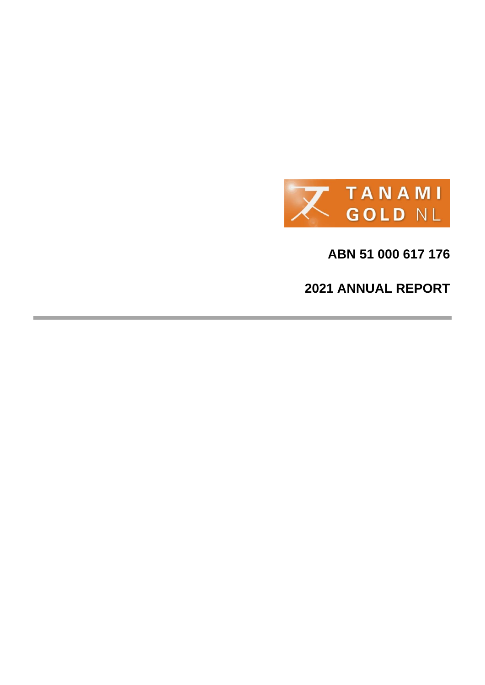

**ABN 51 000 617 176**

**2021 ANNUAL REPORT**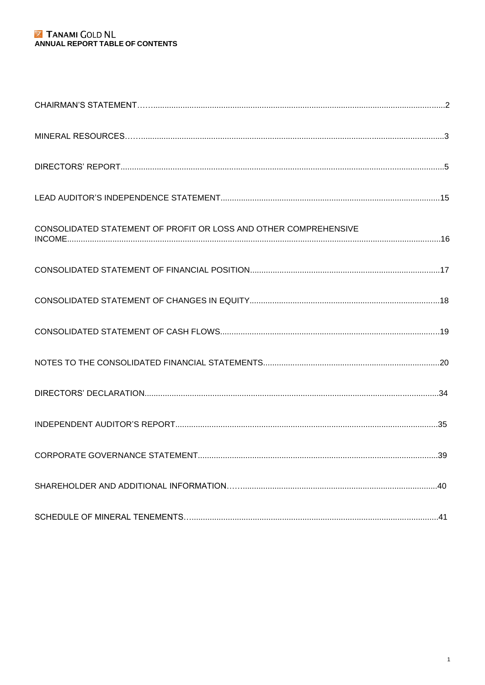## **EX** TANAMI GOLD NL<br>ANNUAL REPORT TABLE OF CONTENTS

| CONSOLIDATED STATEMENT OF PROFIT OR LOSS AND OTHER COMPREHENSIVE |  |
|------------------------------------------------------------------|--|
|                                                                  |  |
|                                                                  |  |
|                                                                  |  |
|                                                                  |  |
|                                                                  |  |
|                                                                  |  |
|                                                                  |  |
|                                                                  |  |
|                                                                  |  |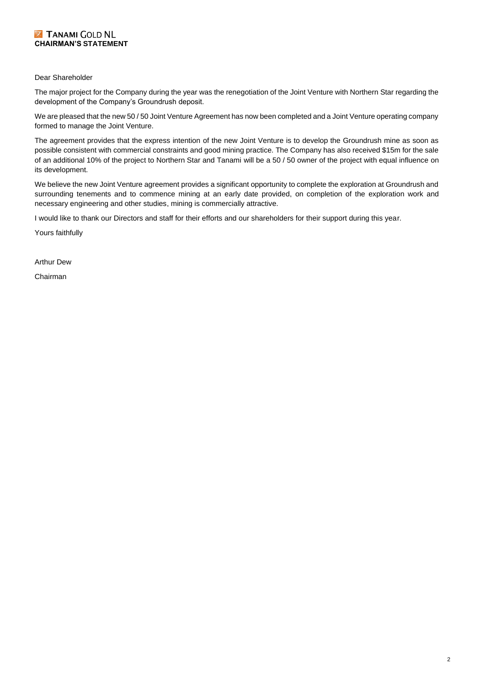#### **Z TANAMI COLD NL CHAIRMAN'S STATEMENT**

#### Dear Shareholder

The major project for the Company during the year was the renegotiation of the Joint Venture with Northern Star regarding the development of the Company's Groundrush deposit.

We are pleased that the new 50 / 50 Joint Venture Agreement has now been completed and a Joint Venture operating company formed to manage the Joint Venture.

The agreement provides that the express intention of the new Joint Venture is to develop the Groundrush mine as soon as possible consistent with commercial constraints and good mining practice. The Company has also received \$15m for the sale of an additional 10% of the project to Northern Star and Tanami will be a 50 / 50 owner of the project with equal influence on its development.

We believe the new Joint Venture agreement provides a significant opportunity to complete the exploration at Groundrush and surrounding tenements and to commence mining at an early date provided, on completion of the exploration work and necessary engineering and other studies, mining is commercially attractive.

I would like to thank our Directors and staff for their efforts and our shareholders for their support during this year.

Yours faithfully

Arthur Dew

Chairman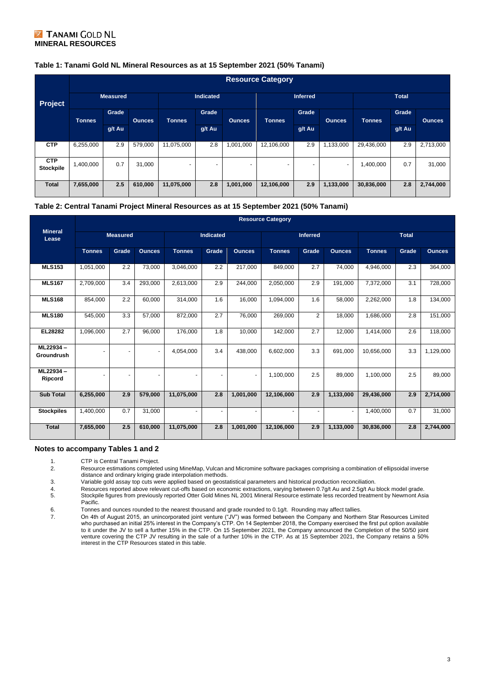#### **Z TANAMI GOLD NL MINERAL RESOURCES**

#### **Table 1: Tanami Gold NL Mineral Resources as at 15 September 2021 (50% Tanami)**

|                                | <b>Resource Category</b> |        |                  |                |                 |               |                          |              |                          |            |        |               |
|--------------------------------|--------------------------|--------|------------------|----------------|-----------------|---------------|--------------------------|--------------|--------------------------|------------|--------|---------------|
| Project                        | <b>Measured</b>          |        | <b>Indicated</b> |                | <b>Inferred</b> |               |                          | <b>Total</b> |                          |            |        |               |
|                                | <b>Tonnes</b>            | Grade  | <b>Qunces</b>    | <b>Tonnes</b>  | Grade           | <b>Qunces</b> | <b>Tonnes</b>            | Grade        | <b>Ounces</b>            | Tonnes     | Grade  | <b>Ounces</b> |
|                                |                          | g/t Au |                  |                | g/t Au          |               |                          | g/t Au       |                          |            | g/t Au |               |
| <b>CTP</b>                     | 6,255,000                | 2.9    | 579,000          | 11,075,000     | 2.8             | 1,001,000     | 12,106,000               | 2.9          | 1,133,000                | 29,436,000 | 2.9    | 2,713,000     |
| <b>CTP</b><br><b>Stockpile</b> | 1,400,000                | 0.7    | 31,000           | $\overline{a}$ | $\sim$          | -             | $\overline{\phantom{0}}$ |              | $\overline{\phantom{0}}$ | 1,400,000  | 0.7    | 31,000        |
| <b>Total</b>                   | 7,655,000                | 2.5    | 610,000          | 11,075,000     | 2.8             | 1,001,000     | 12,106,000               | 2.9          | 1,133,000                | 30,836,000 | 2.8    | 2,744,000     |

#### **Table 2: Central Tanami Project Mineral Resources as at 15 September 2021 (50% Tanami)**

|                         |               | <b>Resource Category</b> |                |               |       |                 |                |                |               |               |       |               |  |
|-------------------------|---------------|--------------------------|----------------|---------------|-------|-----------------|----------------|----------------|---------------|---------------|-------|---------------|--|
| <b>Mineral</b><br>Lease |               | <b>Measured</b>          |                | Indicated     |       | <b>Inferred</b> |                |                | <b>Total</b>  |               |       |               |  |
|                         | <b>Tonnes</b> | Grade                    | <b>Qunces</b>  | <b>Tonnes</b> | Grade | <b>Ounces</b>   | <b>Tonnes</b>  | Grade          | <b>Ounces</b> | <b>Tonnes</b> | Grade | <b>Ounces</b> |  |
| <b>MLS153</b>           | 1,051,000     | 2.2                      | 73,000         | 3,046,000     | 2.2   | 217,000         | 849,000        | 2.7            | 74,000        | 4,946,000     | 2.3   | 364,000       |  |
| <b>MLS167</b>           | 2,709,000     | 3.4                      | 293,000        | 2,613,000     | 2.9   | 244,000         | 2,050,000      | 2.9            | 191,000       | 7,372,000     | 3.1   | 728,000       |  |
| <b>MLS168</b>           | 854,000       | 2.2                      | 60,000         | 314,000       | 1.6   | 16,000          | 1,094,000      | 1.6            | 58,000        | 2,262,000     | 1.8   | 134,000       |  |
| <b>MLS180</b>           | 545,000       | 3.3                      | 57,000         | 872,000       | 2.7   | 76,000          | 269,000        | $\overline{2}$ | 18,000        | 1,686,000     | 2.8   | 151,000       |  |
| EL28282                 | 1,096,000     | 2.7                      | 96,000         | 176,000       | 1.8   | 10,000          | 142,000        | 2.7            | 12,000        | 1,414,000     | 2.6   | 118,000       |  |
| ML22934-<br>Groundrush  |               | ÷                        | $\blacksquare$ | 4.054.000     | 3.4   | 438.000         | 6,602,000      | 3.3            | 691.000       | 10.656.000    | 3.3   | 1,129,000     |  |
| ML22934-<br>Ripcord     |               | ۰                        | ٠              |               |       | ٠               | 1,100,000      | 2.5            | 89,000        | 1,100,000     | 2.5   | 89,000        |  |
| <b>Sub Total</b>        | 6,255,000     | 2.9                      | 579,000        | 11,075,000    | 2.8   | 1,001,000       | 12,106,000     | 2.9            | 1,133,000     | 29,436,000    | 2.9   | 2,714,000     |  |
| <b>Stockpiles</b>       | 1,400,000     | 0.7                      | 31,000         | $\sim$        | ٠     | ٠               | $\blacksquare$ | ٠              | ٠             | 1,400,000     | 0.7   | 31,000        |  |
| <b>Total</b>            | 7,655,000     | 2.5                      | 610,000        | 11,075,000    | 2.8   | 1,001,000       | 12,106,000     | 2.9            | 1,133,000     | 30,836,000    | 2.8   | 2,744,000     |  |

#### **Notes to accompany Tables 1 and 2**

1. CTP is Central Tanami Project.<br>2. Resource estimations complete

2. Resource estimations completed using MineMap, Vulcan and Micromine software packages comprising a combination of ellipsoidal inverse distance and ordinary kriging grade interpolation methods.

3. Variable gold assay top cuts were applied based on geostatistical parameters and historical production reconciliation.

4. Resources reported above relevant cut-offs based on economic extractions, varying between 0.7g/t Au and 2.5g/t Au block model grade.<br>5. Stockpile figures from previously reported Otter Gold Mines NL 2001 Mineral Resourc Stockpile figures from previously reported Otter Gold Mines NL 2001 Mineral Resource estimate less recorded treatment by Newmont Asia Pacific.

6. Tonnes and ounces rounded to the nearest thousand and grade rounded to 0.1g/t. Rounding may affect tallies.

7. On 4th of August 2015, an unincorporated joint venture ("JV") was formed between the Company and Northern Star Resources Limited who purchased an initial 25% interest in the Company's CTP. On 14 September 2018, the Company exercised the first put option available to it under the JV to sell a further 15% in the CTP. On 15 September 2021, the Company announced the Completion of the 50/50 joint venture covering the CTP JV resulting in the sale of a further 10% in the CTP. As at 15 September 2021, the Company retains a 50% interest in the CTP Resources stated in this table.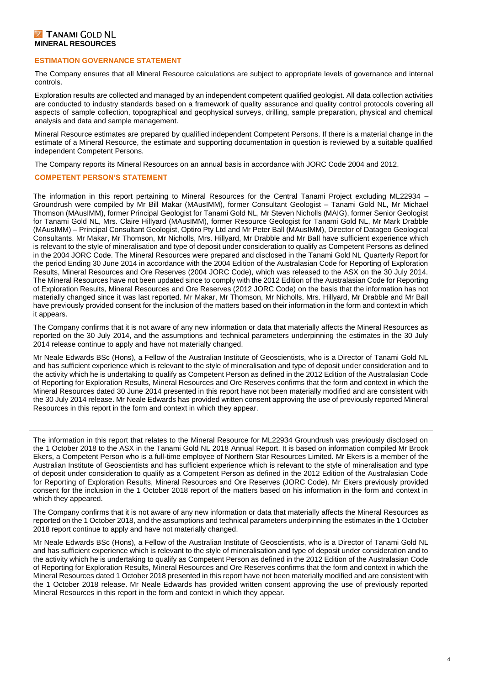#### **Z TANAMI GOLD NL MINERAL RESOURCES**

#### **ESTIMATION GOVERNANCE STATEMENT**

The Company ensures that all Mineral Resource calculations are subject to appropriate levels of governance and internal controls.

Exploration results are collected and managed by an independent competent qualified geologist. All data collection activities are conducted to industry standards based on a framework of quality assurance and quality control protocols covering all aspects of sample collection, topographical and geophysical surveys, drilling, sample preparation, physical and chemical analysis and data and sample management.

Mineral Resource estimates are prepared by qualified independent Competent Persons. If there is a material change in the estimate of a Mineral Resource, the estimate and supporting documentation in question is reviewed by a suitable qualified independent Competent Persons.

The Company reports its Mineral Resources on an annual basis in accordance with JORC Code 2004 and 2012.

#### **COMPETENT PERSON'S STATEMENT**

The information in this report pertaining to Mineral Resources for the Central Tanami Project excluding ML22934 Groundrush were compiled by Mr Bill Makar (MAusIMM), former Consultant Geologist – Tanami Gold NL, Mr Michael Thomson (MAusIMM), former Principal Geologist for Tanami Gold NL, Mr Steven Nicholls (MAIG), former Senior Geologist for Tanami Gold NL, Mrs. Claire Hillyard (MAusIMM), former Resource Geologist for Tanami Gold NL, Mr Mark Drabble (MAusIMM) – Principal Consultant Geologist, Optiro Pty Ltd and Mr Peter Ball (MAusIMM), Director of Datageo Geological Consultants. Mr Makar, Mr Thomson, Mr Nicholls, Mrs. Hillyard, Mr Drabble and Mr Ball have sufficient experience which is relevant to the style of mineralisation and type of deposit under consideration to qualify as Competent Persons as defined in the 2004 JORC Code. The Mineral Resources were prepared and disclosed in the Tanami Gold NL Quarterly Report for the period Ending 30 June 2014 in accordance with the 2004 Edition of the Australasian Code for Reporting of Exploration Results, Mineral Resources and Ore Reserves (2004 JORC Code), which was released to the ASX on the 30 July 2014. The Mineral Resources have not been updated since to comply with the 2012 Edition of the Australasian Code for Reporting of Exploration Results, Mineral Resources and Ore Reserves (2012 JORC Code) on the basis that the information has not materially changed since it was last reported. Mr Makar, Mr Thomson, Mr Nicholls, Mrs. Hillyard, Mr Drabble and Mr Ball have previously provided consent for the inclusion of the matters based on their information in the form and context in which it appears.

The Company confirms that it is not aware of any new information or data that materially affects the Mineral Resources as reported on the 30 July 2014, and the assumptions and technical parameters underpinning the estimates in the 30 July 2014 release continue to apply and have not materially changed.

Mr Neale Edwards BSc (Hons), a Fellow of the Australian Institute of Geoscientists, who is a Director of Tanami Gold NL and has sufficient experience which is relevant to the style of mineralisation and type of deposit under consideration and to the activity which he is undertaking to qualify as Competent Person as defined in the 2012 Edition of the Australasian Code of Reporting for Exploration Results, Mineral Resources and Ore Reserves confirms that the form and context in which the Mineral Resources dated 30 June 2014 presented in this report have not been materially modified and are consistent with the 30 July 2014 release. Mr Neale Edwards has provided written consent approving the use of previously reported Mineral Resources in this report in the form and context in which they appear.

The information in this report that relates to the Mineral Resource for ML22934 Groundrush was previously disclosed on the 1 October 2018 to the ASX in the Tanami Gold NL 2018 Annual Report. It is based on information compiled Mr Brook Ekers, a Competent Person who is a full-time employee of Northern Star Resources Limited. Mr Ekers is a member of the Australian Institute of Geoscientists and has sufficient experience which is relevant to the style of mineralisation and type of deposit under consideration to qualify as a Competent Person as defined in the 2012 Edition of the Australasian Code for Reporting of Exploration Results, Mineral Resources and Ore Reserves (JORC Code). Mr Ekers previously provided consent for the inclusion in the 1 October 2018 report of the matters based on his information in the form and context in which they appeared.

The Company confirms that it is not aware of any new information or data that materially affects the Mineral Resources as reported on the 1 October 2018, and the assumptions and technical parameters underpinning the estimates in the 1 October 2018 report continue to apply and have not materially changed.

Mr Neale Edwards BSc (Hons), a Fellow of the Australian Institute of Geoscientists, who is a Director of Tanami Gold NL and has sufficient experience which is relevant to the style of mineralisation and type of deposit under consideration and to the activity which he is undertaking to qualify as Competent Person as defined in the 2012 Edition of the Australasian Code of Reporting for Exploration Results, Mineral Resources and Ore Reserves confirms that the form and context in which the Mineral Resources dated 1 October 2018 presented in this report have not been materially modified and are consistent with the 1 October 2018 release. Mr Neale Edwards has provided written consent approving the use of previously reported Mineral Resources in this report in the form and context in which they appear.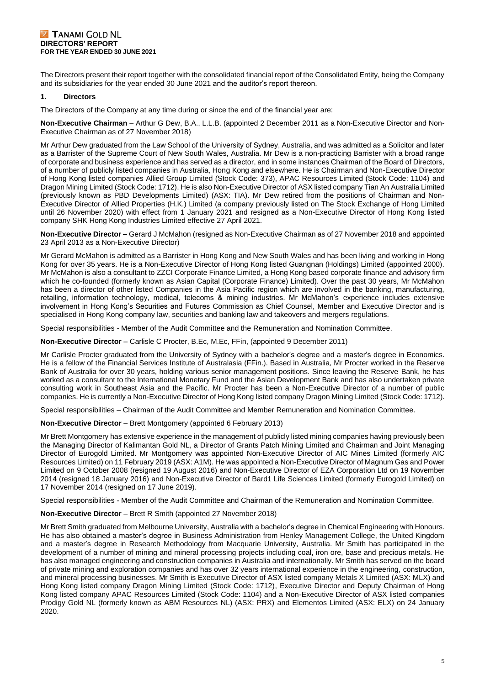The Directors present their report together with the consolidated financial report of the Consolidated Entity, being the Company and its subsidiaries for the year ended 30 June 2021 and the auditor's report thereon.

#### **1. Directors**

The Directors of the Company at any time during or since the end of the financial year are:

**Non-Executive Chairman** – Arthur G Dew, B.A., L.L.B. (appointed 2 December 2011 as a Non-Executive Director and Non-Executive Chairman as of 27 November 2018)

Mr Arthur Dew graduated from the Law School of the University of Sydney, Australia, and was admitted as a Solicitor and later as a Barrister of the Supreme Court of New South Wales, Australia. Mr Dew is a non-practicing Barrister with a broad range of corporate and business experience and has served as a director, and in some instances Chairman of the Board of Directors, of a number of publicly listed companies in Australia, Hong Kong and elsewhere. He is Chairman and Non-Executive Director of Hong Kong listed companies Allied Group Limited (Stock Code: 373), APAC Resources Limited (Stock Code: 1104) and Dragon Mining Limited (Stock Code: 1712). He is also Non-Executive Director of ASX listed company Tian An Australia Limited (previously known as PBD Developments Limited) (ASX: TIA). Mr Dew retired from the positions of Chairman and Non-Executive Director of Allied Properties (H.K.) Limited (a company previously listed on The Stock Exchange of Hong Limited until 26 November 2020) with effect from 1 January 2021 and resigned as a Non-Executive Director of Hong Kong listed company SHK Hong Kong Industries Limited effective 27 April 2021.

**Non-Executive Director –** Gerard J McMahon (resigned as Non-Executive Chairman as of 27 November 2018 and appointed 23 April 2013 as a Non-Executive Director)

Mr Gerard McMahon is admitted as a Barrister in Hong Kong and New South Wales and has been living and working in Hong Kong for over 35 years. He is a Non-Executive Director of Hong Kong listed Guangnan (Holdings) Limited (appointed 2000). Mr McMahon is also a consultant to ZZCI Corporate Finance Limited, a Hong Kong based corporate finance and advisory firm which he co-founded (formerly known as Asian Capital (Corporate Finance) Limited). Over the past 30 years, Mr McMahon has been a director of other listed Companies in the Asia Pacific region which are involved in the banking, manufacturing, retailing, information technology, medical, telecoms & mining industries. Mr McMahon's experience includes extensive involvement in Hong Kong's Securities and Futures Commission as Chief Counsel, Member and Executive Director and is specialised in Hong Kong company law, securities and banking law and takeovers and mergers regulations.

Special responsibilities - Member of the Audit Committee and the Remuneration and Nomination Committee.

**Non-Executive Director** – Carlisle C Procter, B.Ec, M.Ec, FFin, (appointed 9 December 2011)

Mr Carlisle Procter graduated from the University of Sydney with a bachelor's degree and a master's degree in Economics. He is a fellow of the Financial Services Institute of Australasia (FFin.). Based in Australia, Mr Procter worked in the Reserve Bank of Australia for over 30 years, holding various senior management positions. Since leaving the Reserve Bank, he has worked as a consultant to the International Monetary Fund and the Asian Development Bank and has also undertaken private consulting work in Southeast Asia and the Pacific. Mr Procter has been a Non-Executive Director of a number of public companies. He is currently a Non-Executive Director of Hong Kong listed company Dragon Mining Limited (Stock Code: 1712).

Special responsibilities – Chairman of the Audit Committee and Member Remuneration and Nomination Committee.

**Non-Executive Director** – Brett Montgomery (appointed 6 February 2013)

Mr Brett Montgomery has extensive experience in the management of publicly listed mining companies having previously been the Managing Director of Kalimantan Gold NL, a Director of Grants Patch Mining Limited and Chairman and Joint Managing Director of Eurogold Limited. Mr Montgomery was appointed Non-Executive Director of AIC Mines Limited (formerly AIC Resources Limited) on 11 February 2019 (ASX: A1M). He was appointed a Non-Executive Director of Magnum Gas and Power Limited on 9 October 2008 (resigned 19 August 2016) and Non-Executive Director of EZA Corporation Ltd on 19 November 2014 (resigned 18 January 2016) and Non-Executive Director of Bard1 Life Sciences Limited (formerly Eurogold Limited) on 17 November 2014 (resigned on 17 June 2019).

Special responsibilities - Member of the Audit Committee and Chairman of the Remuneration and Nomination Committee.

#### **Non-Executive Director** – Brett R Smith (appointed 27 November 2018)

Mr Brett Smith graduated from Melbourne University, Australia with a bachelor's degree in Chemical Engineering with Honours. He has also obtained a master's degree in Business Administration from Henley Management College, the United Kingdom and a master's degree in Research Methodology from Macquarie University, Australia. Mr Smith has participated in the development of a number of mining and mineral processing projects including coal, iron ore, base and precious metals. He has also managed engineering and construction companies in Australia and internationally. Mr Smith has served on the board of private mining and exploration companies and has over 32 years international experience in the engineering, construction, and mineral processing businesses. Mr Smith is Executive Director of ASX listed company Metals X Limited (ASX: MLX) and Hong Kong listed company Dragon Mining Limited (Stock Code: 1712), Executive Director and Deputy Chairman of Hong Kong listed company APAC Resources Limited (Stock Code: 1104) and a Non-Executive Director of ASX listed companies Prodigy Gold NL (formerly known as ABM Resources NL) (ASX: PRX) and Elementos Limited (ASX: ELX) on 24 January 2020.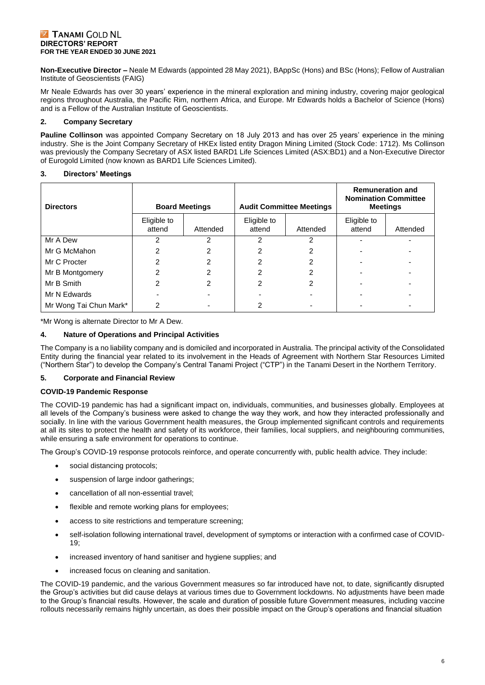**Non-Executive Director –** Neale M Edwards (appointed 28 May 2021), BAppSc (Hons) and BSc (Hons); Fellow of Australian Institute of Geoscientists (FAIG)

Mr Neale Edwards has over 30 years' experience in the mineral exploration and mining industry, covering major geological regions throughout Australia, the Pacific Rim, northern Africa, and Europe. Mr Edwards holds a Bachelor of Science (Hons) and is a Fellow of the Australian Institute of Geoscientists.

#### **2. Company Secretary**

**Pauline Collinson** was appointed Company Secretary on 18 July 2013 and has over 25 years' experience in the mining industry. She is the Joint Company Secretary of HKEx listed entity Dragon Mining Limited (Stock Code: 1712). Ms Collinson was previously the Company Secretary of ASX listed BARD1 Life Sciences Limited (ASX:BD1) and a Non-Executive Director of Eurogold Limited (now known as BARD1 Life Sciences Limited).

#### **3. Directors' Meetings**

| <b>Directors</b>       |                       | <b>Board Meetings</b> |                       | <b>Audit Committee Meetings</b> | <b>Remuneration and</b><br><b>Nomination Committee</b><br><b>Meetings</b> |          |  |
|------------------------|-----------------------|-----------------------|-----------------------|---------------------------------|---------------------------------------------------------------------------|----------|--|
|                        | Eligible to<br>attend | Attended              | Eligible to<br>attend | Attended                        | Eligible to<br>attend                                                     | Attended |  |
| Mr A Dew               |                       |                       |                       |                                 |                                                                           |          |  |
| Mr G McMahon           |                       |                       |                       |                                 |                                                                           |          |  |
| Mr C Procter           |                       | 2                     | 2                     |                                 |                                                                           |          |  |
| Mr B Montgomery        | っ                     | 2                     | 2                     | 2                               |                                                                           |          |  |
| Mr B Smith             | 2                     | 2                     | 2                     | 2                               |                                                                           |          |  |
| Mr N Edwards           |                       |                       |                       |                                 |                                                                           |          |  |
| Mr Wong Tai Chun Mark* | っ                     |                       |                       |                                 |                                                                           |          |  |

\*Mr Wong is alternate Director to Mr A Dew.

#### **4. Nature of Operations and Principal Activities**

The Company is a no liability company and is domiciled and incorporated in Australia. The principal activity of the Consolidated Entity during the financial year related to its involvement in the Heads of Agreement with Northern Star Resources Limited ("Northern Star") to develop the Company's Central Tanami Project ("CTP") in the Tanami Desert in the Northern Territory.

#### **5. Corporate and Financial Review**

#### **COVID-19 Pandemic Response**

The COVID-19 pandemic has had a significant impact on, individuals, communities, and businesses globally. Employees at all levels of the Company's business were asked to change the way they work, and how they interacted professionally and socially. In line with the various Government health measures, the Group implemented significant controls and requirements at all its sites to protect the health and safety of its workforce, their families, local suppliers, and neighbouring communities, while ensuring a safe environment for operations to continue.

The Group's COVID-19 response protocols reinforce, and operate concurrently with, public health advice. They include:

- social distancing protocols;
- suspension of large indoor gatherings;
- cancellation of all non-essential travel;
- flexible and remote working plans for employees:
- access to site restrictions and temperature screening;
- self-isolation following international travel, development of symptoms or interaction with a confirmed case of COVID-19;
- increased inventory of hand sanitiser and hygiene supplies; and
- increased focus on cleaning and sanitation.

The COVID-19 pandemic, and the various Government measures so far introduced have not, to date, significantly disrupted the Group's activities but did cause delays at various times due to Government lockdowns. No adjustments have been made to the Group's financial results. However, the scale and duration of possible future Government measures, including vaccine rollouts necessarily remains highly uncertain, as does their possible impact on the Group's operations and financial situation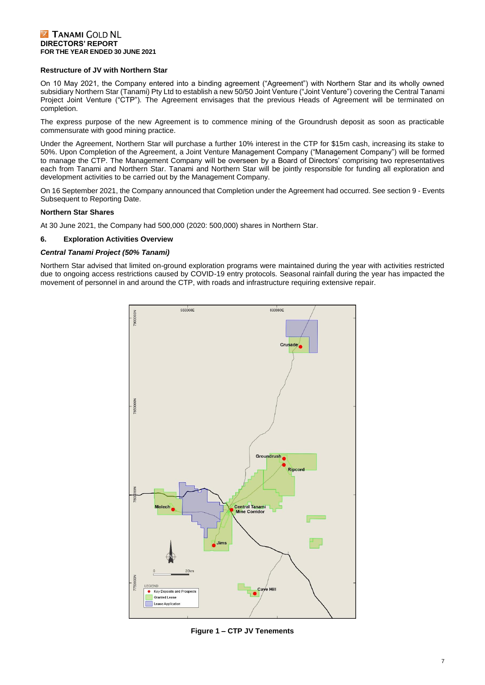#### **Restructure of JV with Northern Star**

On 10 May 2021, the Company entered into a binding agreement ("Agreement") with Northern Star and its wholly owned subsidiary Northern Star (Tanami) Pty Ltd to establish a new 50/50 Joint Venture ("Joint Venture") covering the Central Tanami Project Joint Venture ("CTP"). The Agreement envisages that the previous Heads of Agreement will be terminated on completion.

The express purpose of the new Agreement is to commence mining of the Groundrush deposit as soon as practicable commensurate with good mining practice.

Under the Agreement, Northern Star will purchase a further 10% interest in the CTP for \$15m cash, increasing its stake to 50%. Upon Completion of the Agreement, a Joint Venture Management Company ("Management Company") will be formed to manage the CTP. The Management Company will be overseen by a Board of Directors' comprising two representatives each from Tanami and Northern Star. Tanami and Northern Star will be jointly responsible for funding all exploration and development activities to be carried out by the Management Company.

On 16 September 2021, the Company announced that Completion under the Agreement had occurred. See section 9 - Events Subsequent to Reporting Date.

#### **Northern Star Shares**

At 30 June 2021, the Company had 500,000 (2020: 500,000) shares in Northern Star.

#### **6. Exploration Activities Overview**

#### *Central Tanami Project (50% Tanami)*

Northern Star advised that limited on-ground exploration programs were maintained during the year with activities restricted due to ongoing access restrictions caused by COVID-19 entry protocols. Seasonal rainfall during the year has impacted the movement of personnel in and around the CTP, with roads and infrastructure requiring extensive repair.

![](_page_7_Figure_11.jpeg)

**Figure 1 – CTP JV Tenements**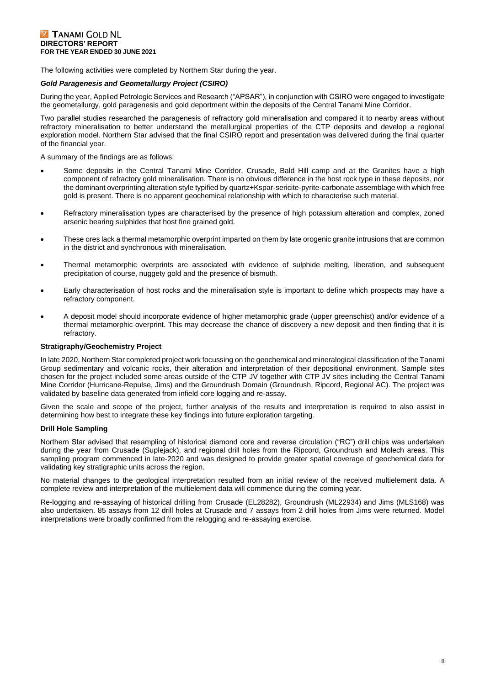The following activities were completed by Northern Star during the year.

#### *Gold Paragenesis and Geometallurgy Project (CSIRO)*

During the year, Applied Petrologic Services and Research ("APSAR"), in conjunction with CSIRO were engaged to investigate the geometallurgy, gold paragenesis and gold deportment within the deposits of the Central Tanami Mine Corridor.

Two parallel studies researched the paragenesis of refractory gold mineralisation and compared it to nearby areas without refractory mineralisation to better understand the metallurgical properties of the CTP deposits and develop a regional exploration model. Northern Star advised that the final CSIRO report and presentation was delivered during the final quarter of the financial year.

A summary of the findings are as follows:

- Some deposits in the Central Tanami Mine Corridor, Crusade, Bald Hill camp and at the Granites have a high component of refractory gold mineralisation. There is no obvious difference in the host rock type in these deposits, nor the dominant overprinting alteration style typified by quartz+Kspar-sericite-pyrite-carbonate assemblage with which free gold is present. There is no apparent geochemical relationship with which to characterise such material.
- Refractory mineralisation types are characterised by the presence of high potassium alteration and complex, zoned arsenic bearing sulphides that host fine grained gold.
- These ores lack a thermal metamorphic overprint imparted on them by late orogenic granite intrusions that are common in the district and synchronous with mineralisation.
- Thermal metamorphic overprints are associated with evidence of sulphide melting, liberation, and subsequent precipitation of course, nuggety gold and the presence of bismuth.
- Early characterisation of host rocks and the mineralisation style is important to define which prospects may have a refractory component.
- A deposit model should incorporate evidence of higher metamorphic grade (upper greenschist) and/or evidence of a thermal metamorphic overprint. This may decrease the chance of discovery a new deposit and then finding that it is refractory.

#### **Stratigraphy/Geochemistry Project**

In late 2020, Northern Star completed project work focussing on the geochemical and mineralogical classification of the Tanami Group sedimentary and volcanic rocks, their alteration and interpretation of their depositional environment. Sample sites chosen for the project included some areas outside of the CTP JV together with CTP JV sites including the Central Tanami Mine Corridor (Hurricane-Repulse, Jims) and the Groundrush Domain (Groundrush, Ripcord, Regional AC). The project was validated by baseline data generated from infield core logging and re-assay.

Given the scale and scope of the project, further analysis of the results and interpretation is required to also assist in determining how best to integrate these key findings into future exploration targeting.

#### **Drill Hole Sampling**

Northern Star advised that resampling of historical diamond core and reverse circulation ("RC") drill chips was undertaken during the year from Crusade (Suplejack), and regional drill holes from the Ripcord, Groundrush and Molech areas. This sampling program commenced in late-2020 and was designed to provide greater spatial coverage of geochemical data for validating key stratigraphic units across the region.

No material changes to the geological interpretation resulted from an initial review of the received multielement data. A complete review and interpretation of the multielement data will commence during the coming year.

Re-logging and re-assaying of historical drilling from Crusade (EL28282), Groundrush (ML22934) and Jims (MLS168) was also undertaken. 85 assays from 12 drill holes at Crusade and 7 assays from 2 drill holes from Jims were returned. Model interpretations were broadly confirmed from the relogging and re-assaying exercise.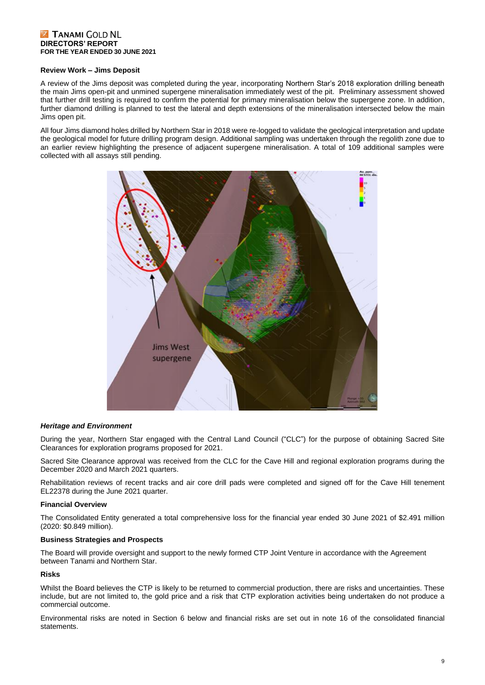#### **Review Work – Jims Deposit**

A review of the Jims deposit was completed during the year, incorporating Northern Star's 2018 exploration drilling beneath the main Jims open-pit and unmined supergene mineralisation immediately west of the pit. Preliminary assessment showed that further drill testing is required to confirm the potential for primary mineralisation below the supergene zone. In addition, further diamond drilling is planned to test the lateral and depth extensions of the mineralisation intersected below the main Jims open pit.

All four Jims diamond holes drilled by Northern Star in 2018 were re-logged to validate the geological interpretation and update the geological model for future drilling program design. Additional sampling was undertaken through the regolith zone due to an earlier review highlighting the presence of adjacent supergene mineralisation. A total of 109 additional samples were collected with all assays still pending.

![](_page_9_Picture_4.jpeg)

#### *Heritage and Environment*

During the year, Northern Star engaged with the Central Land Council ("CLC") for the purpose of obtaining Sacred Site Clearances for exploration programs proposed for 2021.

Sacred Site Clearance approval was received from the CLC for the Cave Hill and regional exploration programs during the December 2020 and March 2021 quarters.

Rehabilitation reviews of recent tracks and air core drill pads were completed and signed off for the Cave Hill tenement EL22378 during the June 2021 quarter.

#### **Financial Overview**

The Consolidated Entity generated a total comprehensive loss for the financial year ended 30 June 2021 of \$2.491 million (2020: \$0.849 million).

#### **Business Strategies and Prospects**

The Board will provide oversight and support to the newly formed CTP Joint Venture in accordance with the Agreement between Tanami and Northern Star.

#### **Risks**

Whilst the Board believes the CTP is likely to be returned to commercial production, there are risks and uncertainties. These include, but are not limited to, the gold price and a risk that CTP exploration activities being undertaken do not produce a commercial outcome.

Environmental risks are noted in Section 6 below and financial risks are set out in note 16 of the consolidated financial statements.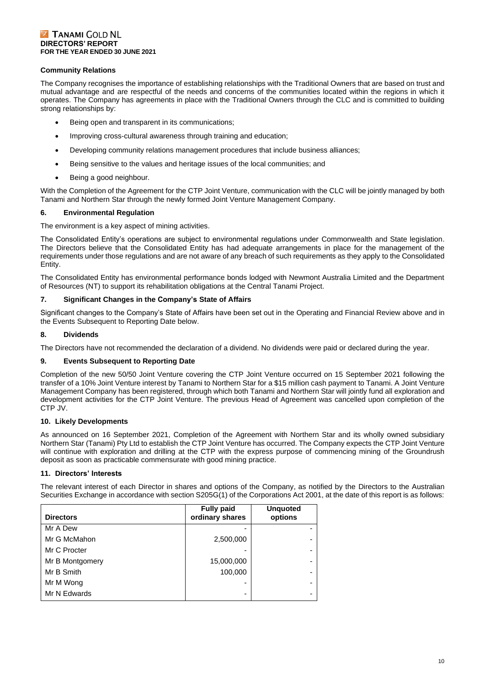#### **Community Relations**

The Company recognises the importance of establishing relationships with the Traditional Owners that are based on trust and mutual advantage and are respectful of the needs and concerns of the communities located within the regions in which it operates. The Company has agreements in place with the Traditional Owners through the CLC and is committed to building strong relationships by:

- Being open and transparent in its communications;
- Improving cross-cultural awareness through training and education;
- Developing community relations management procedures that include business alliances;
- Being sensitive to the values and heritage issues of the local communities; and
- Being a good neighbour.

With the Completion of the Agreement for the CTP Joint Venture, communication with the CLC will be jointly managed by both Tanami and Northern Star through the newly formed Joint Venture Management Company.

#### **6. Environmental Regulation**

The environment is a key aspect of mining activities.

The Consolidated Entity's operations are subject to environmental regulations under Commonwealth and State legislation. The Directors believe that the Consolidated Entity has had adequate arrangements in place for the management of the requirements under those regulations and are not aware of any breach of such requirements as they apply to the Consolidated Entity.

The Consolidated Entity has environmental performance bonds lodged with Newmont Australia Limited and the Department of Resources (NT) to support its rehabilitation obligations at the Central Tanami Project.

#### **7. Significant Changes in the Company's State of Affairs**

Significant changes to the Company's State of Affairs have been set out in the Operating and Financial Review above and in the Events Subsequent to Reporting Date below.

#### **8. Dividends**

The Directors have not recommended the declaration of a dividend. No dividends were paid or declared during the year.

#### **9. Events Subsequent to Reporting Date**

Completion of the new 50/50 Joint Venture covering the CTP Joint Venture occurred on 15 September 2021 following the transfer of a 10% Joint Venture interest by Tanami to Northern Star for a \$15 million cash payment to Tanami. A Joint Venture Management Company has been registered, through which both Tanami and Northern Star will jointly fund all exploration and development activities for the CTP Joint Venture. The previous Head of Agreement was cancelled upon completion of the CTP JV.

#### **10. Likely Developments**

As announced on 16 September 2021, Completion of the Agreement with Northern Star and its wholly owned subsidiary Northern Star (Tanami) Pty Ltd to establish the CTP Joint Venture has occurred. The Company expects the CTP Joint Venture will continue with exploration and drilling at the CTP with the express purpose of commencing mining of the Groundrush deposit as soon as practicable commensurate with good mining practice.

#### **11. Directors' Interests**

The relevant interest of each Director in shares and options of the Company, as notified by the Directors to the Australian Securities Exchange in accordance with section S205G(1) of the Corporations Act 2001, at the date of this report is as follows:

| <b>Directors</b> | <b>Fully paid</b><br>ordinary shares | <b>Unquoted</b><br>options |
|------------------|--------------------------------------|----------------------------|
| Mr A Dew         |                                      |                            |
| Mr G McMahon     | 2,500,000                            |                            |
| Mr C Procter     |                                      | -                          |
| Mr B Montgomery  | 15,000,000                           |                            |
| Mr B Smith       | 100,000                              | $\overline{\phantom{0}}$   |
| Mr M Wong        |                                      |                            |
| Mr N Edwards     | -                                    |                            |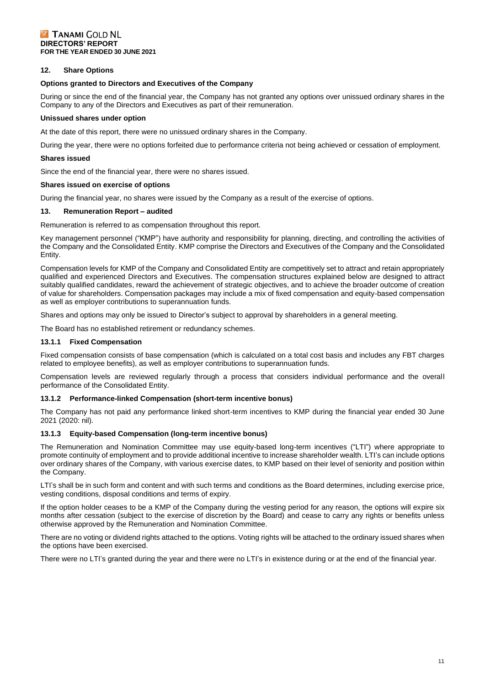#### **12. Share Options**

#### **Options granted to Directors and Executives of the Company**

During or since the end of the financial year, the Company has not granted any options over unissued ordinary shares in the Company to any of the Directors and Executives as part of their remuneration.

#### **Unissued shares under option**

At the date of this report, there were no unissued ordinary shares in the Company.

During the year, there were no options forfeited due to performance criteria not being achieved or cessation of employment.

#### **Shares issued**

Since the end of the financial year, there were no shares issued.

#### **Shares issued on exercise of options**

During the financial year, no shares were issued by the Company as a result of the exercise of options.

#### **13. Remuneration Report – audited**

Remuneration is referred to as compensation throughout this report.

Key management personnel ("KMP") have authority and responsibility for planning, directing, and controlling the activities of the Company and the Consolidated Entity. KMP comprise the Directors and Executives of the Company and the Consolidated Entity.

Compensation levels for KMP of the Company and Consolidated Entity are competitively set to attract and retain appropriately qualified and experienced Directors and Executives. The compensation structures explained below are designed to attract suitably qualified candidates, reward the achievement of strategic objectives, and to achieve the broader outcome of creation of value for shareholders. Compensation packages may include a mix of fixed compensation and equity-based compensation as well as employer contributions to superannuation funds.

Shares and options may only be issued to Director's subject to approval by shareholders in a general meeting.

The Board has no established retirement or redundancy schemes.

#### **13.1.1 Fixed Compensation**

Fixed compensation consists of base compensation (which is calculated on a total cost basis and includes any FBT charges related to employee benefits), as well as employer contributions to superannuation funds.

Compensation levels are reviewed regularly through a process that considers individual performance and the overall performance of the Consolidated Entity.

#### **13.1.2 Performance-linked Compensation (short-term incentive bonus)**

The Company has not paid any performance linked short-term incentives to KMP during the financial year ended 30 June 2021 (2020: nil).

#### **13.1.3 Equity-based Compensation (long-term incentive bonus)**

The Remuneration and Nomination Committee may use equity-based long-term incentives ("LTI") where appropriate to promote continuity of employment and to provide additional incentive to increase shareholder wealth. LTI's can include options over ordinary shares of the Company, with various exercise dates, to KMP based on their level of seniority and position within the Company.

LTI's shall be in such form and content and with such terms and conditions as the Board determines, including exercise price, vesting conditions, disposal conditions and terms of expiry.

If the option holder ceases to be a KMP of the Company during the vesting period for any reason, the options will expire six months after cessation (subject to the exercise of discretion by the Board) and cease to carry any rights or benefits unless otherwise approved by the Remuneration and Nomination Committee.

There are no voting or dividend rights attached to the options. Voting rights will be attached to the ordinary issued shares when the options have been exercised.

There were no LTI's granted during the year and there were no LTI's in existence during or at the end of the financial year.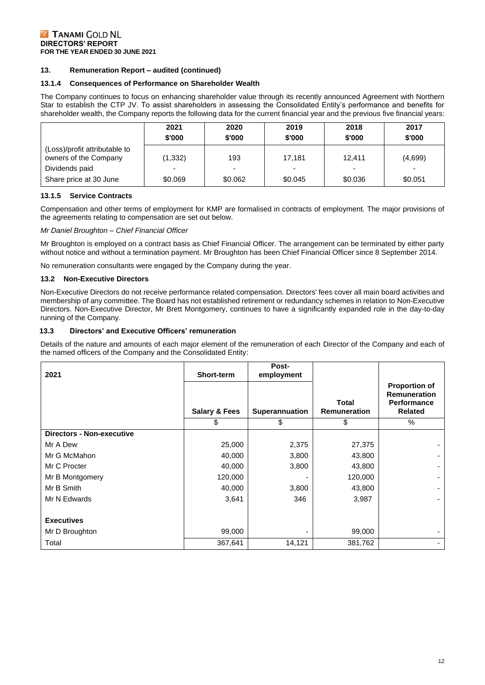#### **13. Remuneration Report – audited (continued)**

#### **13.1.4 Consequences of Performance on Shareholder Wealth**

The Company continues to focus on enhancing shareholder value through its recently announced Agreement with Northern Star to establish the CTP JV. To assist shareholders in assessing the Consolidated Entity's performance and benefits for shareholder wealth, the Company reports the following data for the current financial year and the previous five financial years:

|                                                        | 2021<br>\$'000 | 2020<br>\$'000 | 2019<br>\$'000 | 2018<br>\$'000 | 2017<br>\$'000 |
|--------------------------------------------------------|----------------|----------------|----------------|----------------|----------------|
| (Loss)/profit attributable to<br>owners of the Company | (1, 332)       | 193            | 17.181         | 12.411         | (4,699)        |
| Dividends paid                                         |                |                |                |                |                |
| Share price at 30 June                                 | \$0.069        | \$0.062        | \$0.045        | \$0.036        | \$0.051        |

#### **13.1.5 Service Contracts**

Compensation and other terms of employment for KMP are formalised in contracts of employment. The major provisions of the agreements relating to compensation are set out below.

*Mr Daniel Broughton – Chief Financial Officer*

Mr Broughton is employed on a contract basis as Chief Financial Officer. The arrangement can be terminated by either party without notice and without a termination payment. Mr Broughton has been Chief Financial Officer since 8 September 2014.

No remuneration consultants were engaged by the Company during the year.

#### **13.2 Non-Executive Directors**

Non-Executive Directors do not receive performance related compensation. Directors' fees cover all main board activities and membership of any committee. The Board has not established retirement or redundancy schemes in relation to Non-Executive Directors. Non-Executive Director, Mr Brett Montgomery, continues to have a significantly expanded role in the day-to-day running of the Company.

#### **13.3 Directors' and Executive Officers' remuneration**

Details of the nature and amounts of each major element of the remuneration of each Director of the Company and each of the named officers of the Company and the Consolidated Entity:

| 2021                             | Short-term               | Post-<br>employment   |                                     |                                                                                     |
|----------------------------------|--------------------------|-----------------------|-------------------------------------|-------------------------------------------------------------------------------------|
|                                  | <b>Salary &amp; Fees</b> | <b>Superannuation</b> | <b>Total</b><br><b>Remuneration</b> | <b>Proportion of</b><br><b>Remuneration</b><br><b>Performance</b><br><b>Related</b> |
|                                  | \$                       | \$                    | \$                                  | $\%$                                                                                |
| <b>Directors - Non-executive</b> |                          |                       |                                     |                                                                                     |
| Mr A Dew                         | 25,000                   | 2,375                 | 27,375                              |                                                                                     |
| Mr G McMahon                     | 40,000                   | 3,800                 | 43,800                              |                                                                                     |
| Mr C Procter                     | 40,000                   | 3,800                 | 43,800                              |                                                                                     |
| Mr B Montgomery                  | 120,000                  |                       | 120,000                             |                                                                                     |
| Mr B Smith                       | 40,000                   | 3,800                 | 43,800                              |                                                                                     |
| Mr N Edwards                     | 3,641                    | 346                   | 3,987                               |                                                                                     |
|                                  |                          |                       |                                     |                                                                                     |
| <b>Executives</b>                |                          |                       |                                     |                                                                                     |
| Mr D Broughton                   | 99,000                   |                       | 99,000                              |                                                                                     |
| Total                            | 367,641                  | 14,121                | 381,762                             |                                                                                     |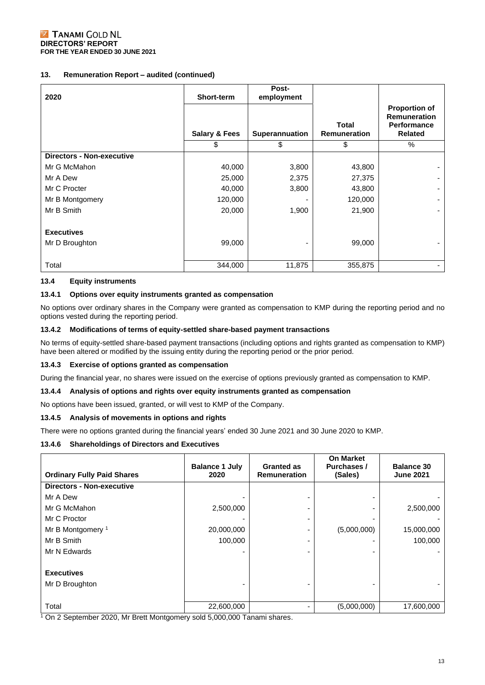#### **13. Remuneration Report – audited (continued)**

| 2020                             | Short-term               | Post-<br>employment |                                     |                                                                                     |
|----------------------------------|--------------------------|---------------------|-------------------------------------|-------------------------------------------------------------------------------------|
|                                  | <b>Salary &amp; Fees</b> | Superannuation      | <b>Total</b><br><b>Remuneration</b> | <b>Proportion of</b><br><b>Remuneration</b><br><b>Performance</b><br><b>Related</b> |
|                                  | \$                       | \$                  | \$                                  | $\%$                                                                                |
| <b>Directors - Non-executive</b> |                          |                     |                                     |                                                                                     |
| Mr G McMahon                     | 40,000                   | 3,800               | 43,800                              |                                                                                     |
| Mr A Dew                         | 25,000                   | 2,375               | 27,375                              |                                                                                     |
| Mr C Procter                     | 40,000                   | 3,800               | 43,800                              |                                                                                     |
| Mr B Montgomery                  | 120,000                  |                     | 120,000                             |                                                                                     |
| Mr B Smith                       | 20,000                   | 1,900               | 21,900                              |                                                                                     |
|                                  |                          |                     |                                     |                                                                                     |
| <b>Executives</b>                |                          |                     |                                     |                                                                                     |
| Mr D Broughton                   | 99,000                   |                     | 99,000                              |                                                                                     |
|                                  |                          |                     |                                     |                                                                                     |
| Total                            | 344,000                  | 11,875              | 355,875                             |                                                                                     |

#### **13.4 Equity instruments**

#### **13.4.1 Options over equity instruments granted as compensation**

No options over ordinary shares in the Company were granted as compensation to KMP during the reporting period and no options vested during the reporting period.

#### **13.4.2 Modifications of terms of equity-settled share-based payment transactions**

No terms of equity-settled share-based payment transactions (including options and rights granted as compensation to KMP) have been altered or modified by the issuing entity during the reporting period or the prior period.

#### **13.4.3 Exercise of options granted as compensation**

During the financial year, no shares were issued on the exercise of options previously granted as compensation to KMP.

#### **13.4.4 Analysis of options and rights over equity instruments granted as compensation**

No options have been issued, granted, or will vest to KMP of the Company.

#### **13.4.5 Analysis of movements in options and rights**

There were no options granted during the financial years' ended 30 June 2021 and 30 June 2020 to KMP.

#### **13.4.6 Shareholdings of Directors and Executives**

| <b>Ordinary Fully Paid Shares</b> | <b>Balance 1 July</b><br>2020 | <b>Granted as</b><br><b>Remuneration</b> | <b>On Market</b><br>Purchases /<br>(Sales) | <b>Balance 30</b><br><b>June 2021</b> |
|-----------------------------------|-------------------------------|------------------------------------------|--------------------------------------------|---------------------------------------|
| <b>Directors - Non-executive</b>  |                               |                                          |                                            |                                       |
| Mr A Dew                          |                               |                                          |                                            |                                       |
| Mr G McMahon                      | 2,500,000                     |                                          |                                            | 2,500,000                             |
| Mr C Proctor                      |                               |                                          |                                            |                                       |
| Mr B Montgomery <sup>1</sup>      | 20,000,000                    |                                          | (5,000,000)                                | 15,000,000                            |
| Mr B Smith                        | 100,000                       |                                          |                                            | 100,000                               |
| Mr N Edwards                      |                               |                                          |                                            |                                       |
|                                   |                               |                                          |                                            |                                       |
| <b>Executives</b>                 |                               |                                          |                                            |                                       |
| Mr D Broughton                    |                               |                                          |                                            |                                       |
|                                   |                               |                                          |                                            |                                       |
| Total                             | 22,600,000                    |                                          | (5,000,000)                                | 17,600,000                            |

<sup>1</sup> On 2 September 2020, Mr Brett Montgomery sold 5,000,000 Tanami shares.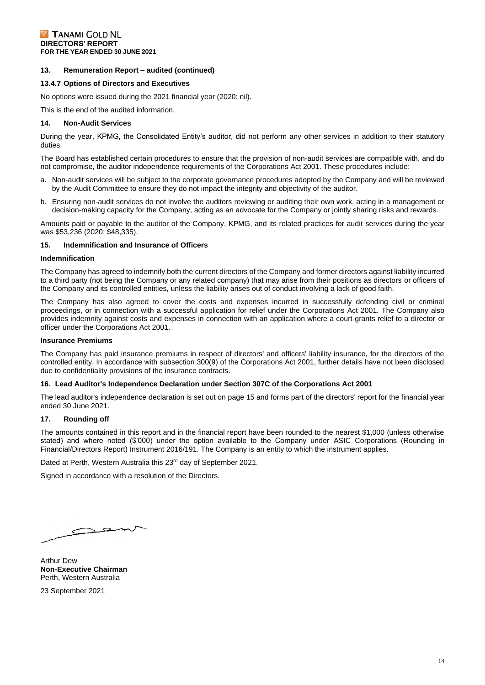#### **13. Remuneration Report – audited (continued)**

#### **13.4.7 Options of Directors and Executives**

No options were issued during the 2021 financial year (2020: nil).

This is the end of the audited information.

#### **14. Non-Audit Services**

During the year, KPMG, the Consolidated Entity's auditor, did not perform any other services in addition to their statutory duties.

The Board has established certain procedures to ensure that the provision of non-audit services are compatible with, and do not compromise, the auditor independence requirements of the Corporations Act 2001. These procedures include:

- a. Non-audit services will be subject to the corporate governance procedures adopted by the Company and will be reviewed by the Audit Committee to ensure they do not impact the integrity and objectivity of the auditor.
- b. Ensuring non-audit services do not involve the auditors reviewing or auditing their own work, acting in a management or decision-making capacity for the Company, acting as an advocate for the Company or jointly sharing risks and rewards.

Amounts paid or payable to the auditor of the Company, KPMG, and its related practices for audit services during the year was \$53,236 (2020: \$48,335).

#### **15. Indemnification and Insurance of Officers**

#### **Indemnification**

The Company has agreed to indemnify both the current directors of the Company and former directors against liability incurred to a third party (not being the Company or any related company) that may arise from their positions as directors or officers of the Company and its controlled entities, unless the liability arises out of conduct involving a lack of good faith.

The Company has also agreed to cover the costs and expenses incurred in successfully defending civil or criminal proceedings, or in connection with a successful application for relief under the Corporations Act 2001. The Company also provides indemnity against costs and expenses in connection with an application where a court grants relief to a director or officer under the Corporations Act 2001.

#### **Insurance Premiums**

The Company has paid insurance premiums in respect of directors' and officers' liability insurance, for the directors of the controlled entity. In accordance with subsection 300(9) of the Corporations Act 2001, further details have not been disclosed due to confidentiality provisions of the insurance contracts.

#### **16. Lead Auditor's Independence Declaration under Section 307C of the Corporations Act 2001**

The lead auditor's independence declaration is set out on page 15 and forms part of the directors' report for the financial year ended 30 June 2021.

#### **17. Rounding off**

The amounts contained in this report and in the financial report have been rounded to the nearest \$1,000 (unless otherwise stated) and where noted (\$'000) under the option available to the Company under ASIC Corporations (Rounding in Financial/Directors Report) Instrument 2016/191. The Company is an entity to which the instrument applies.

Dated at Perth, Western Australia this 23<sup>rd</sup> day of September 2021.

Signed in accordance with a resolution of the Directors.

 $\sim$   $\approx$ 

Arthur Dew **Non-Executive Chairman** Perth, Western Australia

23 September 2021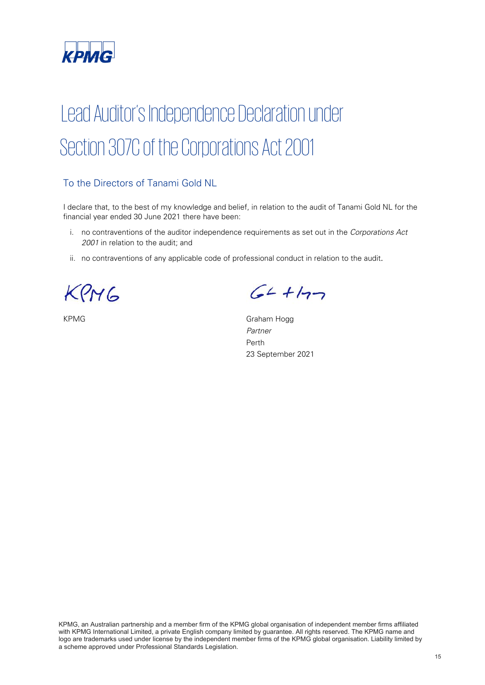![](_page_15_Picture_0.jpeg)

# Lead Auditor's Independence Declaration under Section 307C of the Corporations Act 2001

## To the Directors of Tanami Gold NL

I declare that, to the best of my knowledge and belief, in relation to the audit of Tanami Gold NL for the financial year ended 30 June 2021 there have been:

- i. no contraventions of the auditor independence requirements as set out in the Corporations Act 2001 in relation to the audit; and
- ii. no contraventions of any applicable code of professional conduct in relation to the audit.

KPMG

 $64 + 177$ 

KPMG Graham Hogg Partner Perth 23 September 2021

KPMG, an Australian partnership and a member firm of the KPMG global organisation of independent member firms affiliated with KPMG International Limited, a private English company limited by guarantee. All rights reserved. The KPMG name and logo are trademarks used under license by the independent member firms of the KPMG global organisation. Liability limited by a scheme approved under Professional Standards Legislation.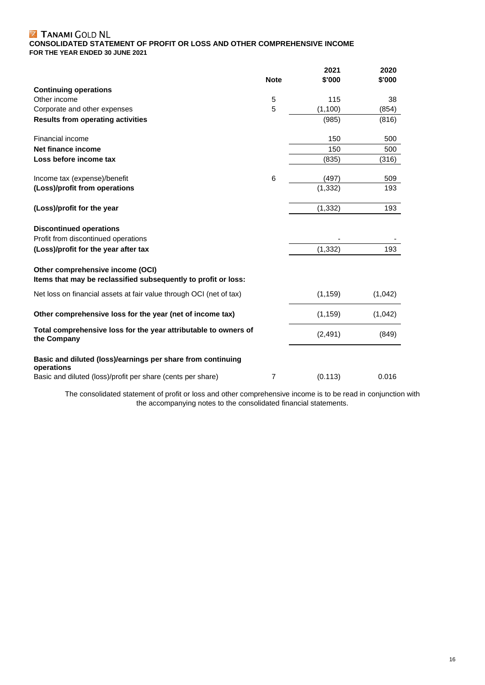#### TANAMI **CONSOLIDATED STATEMENT OF PROFIT OR LOSS AND OTHER COMPREHENSIVE INCOME FOR THE YEAR ENDED 30 JUNE 2021**

|                                                                                                    |                | 2021     | 2020    |
|----------------------------------------------------------------------------------------------------|----------------|----------|---------|
|                                                                                                    | <b>Note</b>    | \$'000   | \$'000  |
| <b>Continuing operations</b>                                                                       |                |          |         |
| Other income                                                                                       | 5              | 115      | 38      |
| Corporate and other expenses                                                                       | 5              | (1, 100) | (854)   |
| <b>Results from operating activities</b>                                                           |                | (985)    | (816)   |
| Financial income                                                                                   |                | 150      | 500     |
| Net finance income                                                                                 |                | 150      | 500     |
| Loss before income tax                                                                             |                | (835)    | (316)   |
| Income tax (expense)/benefit                                                                       | 6              | (497)    | 509     |
| (Loss)/profit from operations                                                                      |                | (1, 332) | 193     |
| (Loss)/profit for the year                                                                         |                | (1, 332) | 193     |
| <b>Discontinued operations</b>                                                                     |                |          |         |
| Profit from discontinued operations                                                                |                |          |         |
| (Loss)/profit for the year after tax                                                               |                | (1, 332) | 193     |
| Other comprehensive income (OCI)<br>Items that may be reclassified subsequently to profit or loss: |                |          |         |
| Net loss on financial assets at fair value through OCI (net of tax)                                |                | (1, 159) | (1,042) |
| Other comprehensive loss for the year (net of income tax)                                          |                | (1, 159) | (1,042) |
| Total comprehensive loss for the year attributable to owners of<br>the Company                     |                | (2, 491) | (849)   |
| Basic and diluted (loss)/earnings per share from continuing<br>operations                          |                |          |         |
| Basic and diluted (loss)/profit per share (cents per share)                                        | $\overline{7}$ | (0.113)  | 0.016   |

The consolidated statement of profit or loss and other comprehensive income is to be read in conjunction with the accompanying notes to the consolidated financial statements.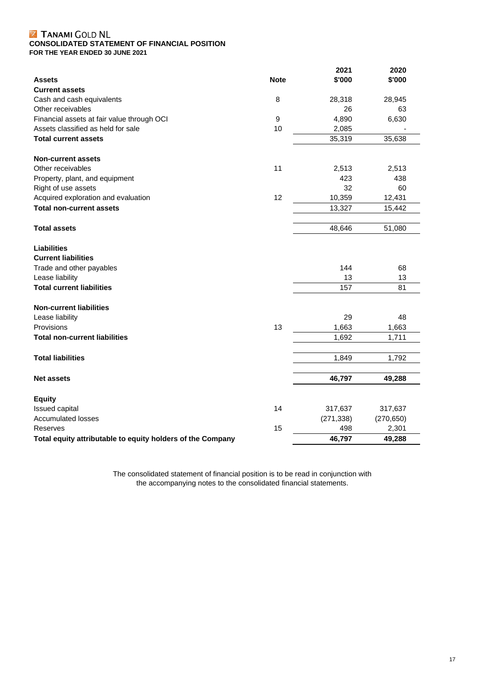#### TANAMI **CONSOLIDATED STATEMENT OF FINANCIAL POSITION FOR THE YEAR ENDED 30 JUNE 2021**

|                                                            |             | 2021       | 2020       |
|------------------------------------------------------------|-------------|------------|------------|
| <b>Assets</b>                                              | <b>Note</b> | \$'000     | \$'000     |
| <b>Current assets</b>                                      |             |            |            |
| Cash and cash equivalents                                  | 8           | 28,318     | 28,945     |
| Other receivables                                          |             | 26         | 63         |
| Financial assets at fair value through OCI                 | 9           | 4,890      | 6,630      |
| Assets classified as held for sale                         | 10          | 2,085      |            |
| <b>Total current assets</b>                                |             | 35,319     | 35,638     |
| <b>Non-current assets</b>                                  |             |            |            |
| Other receivables                                          | 11          | 2,513      | 2,513      |
| Property, plant, and equipment                             |             | 423        | 438        |
| Right of use assets                                        |             | 32         | 60         |
| Acquired exploration and evaluation                        | 12          | 10,359     | 12,431     |
| <b>Total non-current assets</b>                            |             | 13,327     | 15,442     |
| <b>Total assets</b>                                        |             | 48,646     | 51,080     |
| <b>Liabilities</b>                                         |             |            |            |
| <b>Current liabilities</b>                                 |             |            |            |
| Trade and other payables                                   |             | 144        | 68         |
| Lease liability                                            |             | 13         | 13         |
| <b>Total current liabilities</b>                           |             | 157        | 81         |
| <b>Non-current liabilities</b>                             |             |            |            |
| Lease liability                                            |             | 29         | 48         |
| Provisions                                                 | 13          | 1,663      | 1,663      |
| <b>Total non-current liabilities</b>                       |             | 1,692      | 1,711      |
| <b>Total liabilities</b>                                   |             | 1,849      | 1,792      |
|                                                            |             |            |            |
| <b>Net assets</b>                                          |             | 46,797     | 49,288     |
| <b>Equity</b>                                              |             |            |            |
| Issued capital                                             | 14          | 317,637    | 317,637    |
| <b>Accumulated losses</b>                                  |             | (271, 338) | (270, 650) |
| Reserves                                                   | 15          | 498        | 2,301      |
| Total equity attributable to equity holders of the Company |             | 46,797     | 49,288     |

The consolidated statement of financial position is to be read in conjunction with the accompanying notes to the consolidated financial statements.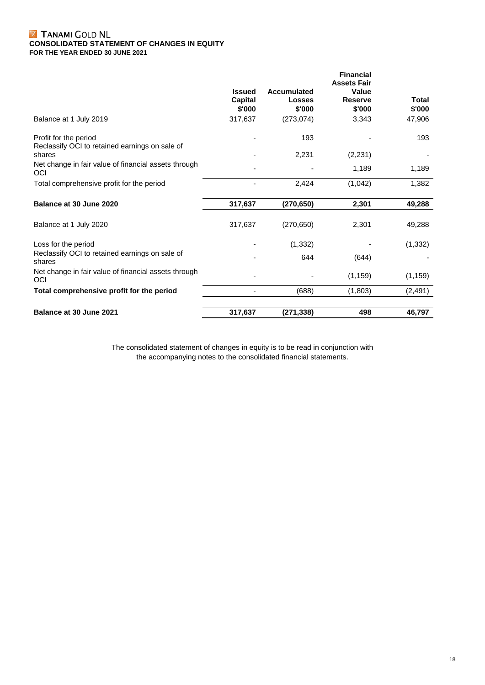#### TANAMI **CONSOLIDATED STATEMENT OF CHANGES IN EQUITY FOR THE YEAR ENDED 30 JUNE 2021**

|                                                                         | <b>Issued</b> | Accumulated | <b>Financial</b><br><b>Assets Fair</b><br>Value |              |
|-------------------------------------------------------------------------|---------------|-------------|-------------------------------------------------|--------------|
|                                                                         | Capital       | Losses      | <b>Reserve</b>                                  | <b>Total</b> |
|                                                                         | \$'000        | \$'000      | \$'000                                          | \$'000       |
| Balance at 1 July 2019                                                  | 317,637       | (273, 074)  | 3,343                                           | 47,906       |
| Profit for the period<br>Reclassify OCI to retained earnings on sale of |               | 193         |                                                 | 193          |
| shares                                                                  |               | 2,231       | (2, 231)                                        |              |
| Net change in fair value of financial assets through<br>OCI             |               |             | 1,189                                           | 1,189        |
| Total comprehensive profit for the period                               |               | 2,424       | (1,042)                                         | 1,382        |
| Balance at 30 June 2020                                                 | 317,637       | (270, 650)  | 2,301                                           | 49,288       |
| Balance at 1 July 2020                                                  | 317,637       | (270, 650)  | 2,301                                           | 49,288       |
| Loss for the period                                                     |               | (1, 332)    |                                                 | (1, 332)     |
| Reclassify OCI to retained earnings on sale of<br>shares                |               | 644         | (644)                                           |              |
| Net change in fair value of financial assets through<br>OCI             |               |             | (1, 159)                                        | (1, 159)     |
| Total comprehensive profit for the period                               |               | (688)       | (1,803)                                         | (2, 491)     |
| Balance at 30 June 2021                                                 | 317,637       | (271, 338)  | 498                                             | 46.797       |
|                                                                         |               |             |                                                 |              |

The consolidated statement of changes in equity is to be read in conjunction with the accompanying notes to the consolidated financial statements.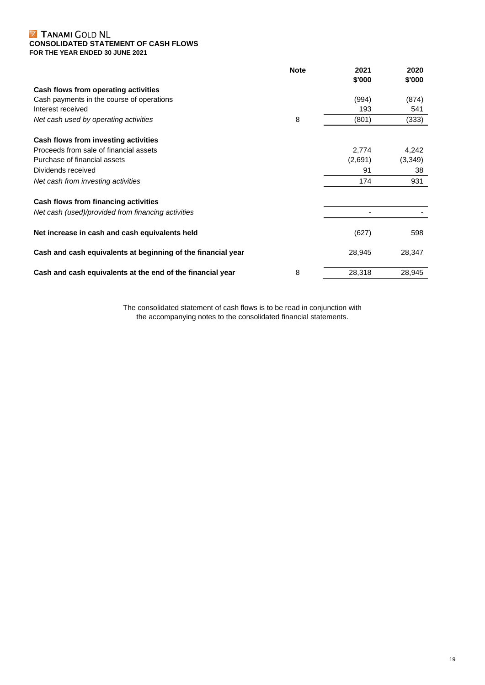#### TANAMI **CONSOLIDATED STATEMENT OF CASH FLOWS FOR THE YEAR ENDED 30 JUNE 2021**

|                                                              | <b>Note</b> | 2021<br>\$'000 | 2020<br>\$'000 |
|--------------------------------------------------------------|-------------|----------------|----------------|
| Cash flows from operating activities                         |             |                |                |
| Cash payments in the course of operations                    |             | (994)          | (874)          |
| Interest received                                            |             | 193            | 541            |
| Net cash used by operating activities                        | 8           | (801)          | (333)          |
| Cash flows from investing activities                         |             |                |                |
| Proceeds from sale of financial assets                       |             | 2,774          | 4,242          |
| Purchase of financial assets                                 |             | (2,691)        | (3,349)        |
| Dividends received                                           |             | 91             | 38             |
| Net cash from investing activities                           |             | 174            | 931            |
| Cash flows from financing activities                         |             |                |                |
| Net cash (used)/provided from financing activities           |             |                |                |
| Net increase in cash and cash equivalents held               |             | (627)          | 598            |
| Cash and cash equivalents at beginning of the financial year |             | 28,945         | 28,347         |
| Cash and cash equivalents at the end of the financial year   | 8           | 28,318         | 28,945         |

The consolidated statement of cash flows is to be read in conjunction with the accompanying notes to the consolidated financial statements.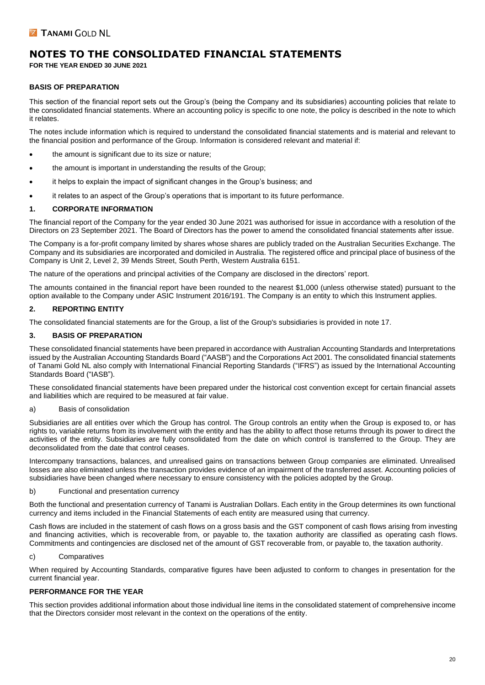**FOR THE YEAR ENDED 30 JUNE 2021**

#### **BASIS OF PREPARATION**

This section of the financial report sets out the Group's (being the Company and its subsidiaries) accounting policies that relate to the consolidated financial statements. Where an accounting policy is specific to one note, the policy is described in the note to which it relates.

The notes include information which is required to understand the consolidated financial statements and is material and relevant to the financial position and performance of the Group. Information is considered relevant and material if:

- the amount is significant due to its size or nature;
- the amount is important in understanding the results of the Group;
- it helps to explain the impact of significant changes in the Group's business; and
- it relates to an aspect of the Group's operations that is important to its future performance.

#### **1. CORPORATE INFORMATION**

The financial report of the Company for the year ended 30 June 2021 was authorised for issue in accordance with a resolution of the Directors on 23 September 2021. The Board of Directors has the power to amend the consolidated financial statements after issue.

The Company is a for-profit company limited by shares whose shares are publicly traded on the Australian Securities Exchange. The Company and its subsidiaries are incorporated and domiciled in Australia. The registered office and principal place of business of the Company is Unit 2, Level 2, 39 Mends Street, South Perth, Western Australia 6151.

The nature of the operations and principal activities of the Company are disclosed in the directors' report.

The amounts contained in the financial report have been rounded to the nearest \$1,000 (unless otherwise stated) pursuant to the option available to the Company under ASIC Instrument 2016/191. The Company is an entity to which this Instrument applies.

#### **2. REPORTING ENTITY**

The consolidated financial statements are for the Group, a list of the Group's subsidiaries is provided in note 17.

#### **3. BASIS OF PREPARATION**

These consolidated financial statements have been prepared in accordance with Australian Accounting Standards and Interpretations issued by the Australian Accounting Standards Board ("AASB") and the Corporations Act 2001. The consolidated financial statements of Tanami Gold NL also comply with International Financial Reporting Standards ("IFRS") as issued by the International Accounting Standards Board ("IASB").

These consolidated financial statements have been prepared under the historical cost convention except for certain financial assets and liabilities which are required to be measured at fair value.

#### a) Basis of consolidation

Subsidiaries are all entities over which the Group has control. The Group controls an entity when the Group is exposed to, or has rights to, variable returns from its involvement with the entity and has the ability to affect those returns through its power to direct the activities of the entity. Subsidiaries are fully consolidated from the date on which control is transferred to the Group. They are deconsolidated from the date that control ceases.

Intercompany transactions, balances, and unrealised gains on transactions between Group companies are eliminated. Unrealised losses are also eliminated unless the transaction provides evidence of an impairment of the transferred asset. Accounting policies of subsidiaries have been changed where necessary to ensure consistency with the policies adopted by the Group.

#### b) Functional and presentation currency

Both the functional and presentation currency of Tanami is Australian Dollars. Each entity in the Group determines its own functional currency and items included in the Financial Statements of each entity are measured using that currency.

Cash flows are included in the statement of cash flows on a gross basis and the GST component of cash flows arising from investing and financing activities, which is recoverable from, or payable to, the taxation authority are classified as operating cash flows. Commitments and contingencies are disclosed net of the amount of GST recoverable from, or payable to, the taxation authority.

#### c) Comparatives

When required by Accounting Standards, comparative figures have been adjusted to conform to changes in presentation for the current financial year.

#### **PERFORMANCE FOR THE YEAR**

This section provides additional information about those individual line items in the consolidated statement of comprehensive income that the Directors consider most relevant in the context on the operations of the entity.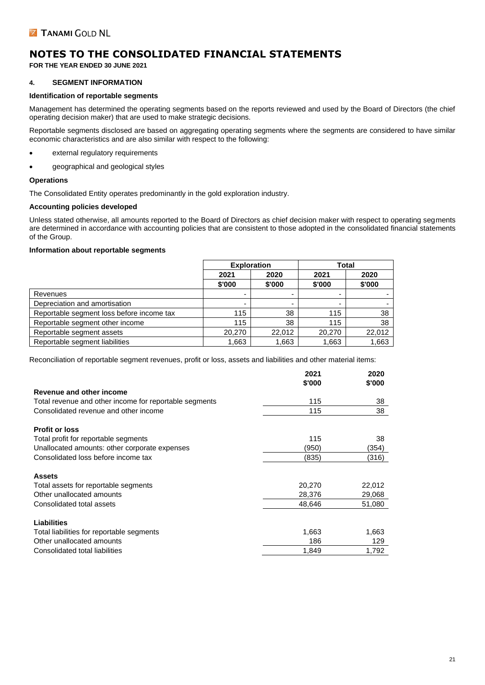**FOR THE YEAR ENDED 30 JUNE 2021**

#### **4. SEGMENT INFORMATION**

#### **Identification of reportable segments**

Management has determined the operating segments based on the reports reviewed and used by the Board of Directors (the chief operating decision maker) that are used to make strategic decisions.

Reportable segments disclosed are based on aggregating operating segments where the segments are considered to have similar economic characteristics and are also similar with respect to the following:

- external regulatory requirements
- geographical and geological styles

#### **Operations**

The Consolidated Entity operates predominantly in the gold exploration industry.

#### **Accounting policies developed**

Unless stated otherwise, all amounts reported to the Board of Directors as chief decision maker with respect to operating segments are determined in accordance with accounting policies that are consistent to those adopted in the consolidated financial statements of the Group.

#### **Information about reportable segments**

|                                           | <b>Exploration</b> |                          | Total  |        |
|-------------------------------------------|--------------------|--------------------------|--------|--------|
|                                           | 2021               | 2020                     | 2021   | 2020   |
|                                           | \$'000             | \$'000                   | \$'000 | \$'000 |
| Revenues                                  |                    | $\overline{\phantom{0}}$ |        |        |
| Depreciation and amortisation             |                    | $\overline{\phantom{0}}$ |        |        |
| Reportable segment loss before income tax | 115                | 38                       | 115    | 38     |
| Reportable segment other income           | 115                | 38                       | 115    | 38     |
| Reportable segment assets                 | 20,270             | 22.012                   | 20,270 | 22,012 |
| Reportable segment liabilities            | 1,663              | 1,663                    | 1,663  | 1,663  |

Reconciliation of reportable segment revenues, profit or loss, assets and liabilities and other material items:

|                                                        | 2021   | 2020   |
|--------------------------------------------------------|--------|--------|
|                                                        | \$'000 | \$'000 |
| Revenue and other income                               |        |        |
| Total revenue and other income for reportable segments | 115    | 38     |
| Consolidated revenue and other income                  | 115    | 38     |
| <b>Profit or loss</b>                                  |        |        |
| Total profit for reportable segments                   | 115    | 38     |
| Unallocated amounts: other corporate expenses          | (950)  | (354)  |
| Consolidated loss before income tax                    | (835)  | (316)  |
| <b>Assets</b>                                          |        |        |
| Total assets for reportable segments                   | 20,270 | 22,012 |
| Other unallocated amounts                              | 28,376 | 29,068 |
| Consolidated total assets                              | 48,646 | 51,080 |
| Liabilities                                            |        |        |
| Total liabilities for reportable segments              | 1,663  | 1,663  |
| Other unallocated amounts                              | 186    | 129    |
| Consolidated total liabilities                         | 1,849  | 1.792  |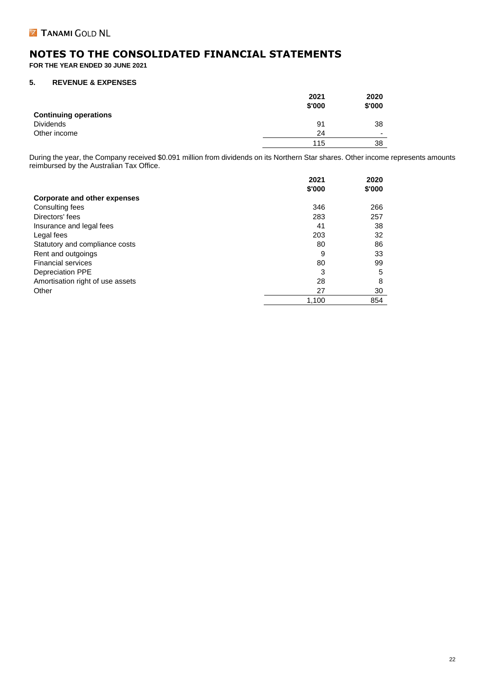**FOR THE YEAR ENDED 30 JUNE 2021**

#### **5. REVENUE & EXPENSES**

|                              | 2021   | 2020<br>\$'000 |
|------------------------------|--------|----------------|
|                              | \$'000 |                |
| <b>Continuing operations</b> |        |                |
| Dividends                    | 91     | 38             |
| Other income                 | 24     | -              |
|                              | 115    | 38             |

During the year, the Company received \$0.091 million from dividends on its Northern Star shares. Other income represents amounts reimbursed by the Australian Tax Office.

|                                     | 2021   | 2020   |
|-------------------------------------|--------|--------|
|                                     | \$'000 | \$'000 |
| <b>Corporate and other expenses</b> |        |        |
| Consulting fees                     | 346    | 266    |
| Directors' fees                     | 283    | 257    |
| Insurance and legal fees            | 41     | 38     |
| Legal fees                          | 203    | 32     |
| Statutory and compliance costs      | 80     | 86     |
| Rent and outgoings                  | 9      | 33     |
| <b>Financial services</b>           | 80     | 99     |
| <b>Depreciation PPE</b>             | 3      | 5      |
| Amortisation right of use assets    | 28     | 8      |
| Other                               | 27     | 30     |
|                                     | 1,100  | 854    |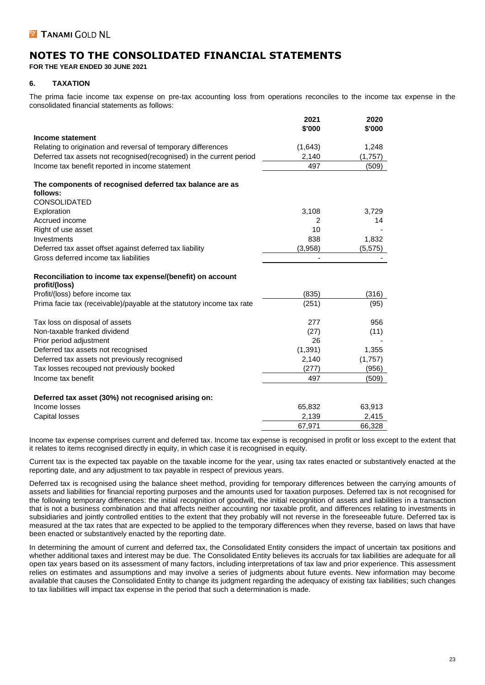**FOR THE YEAR ENDED 30 JUNE 2021**

#### **6. TAXATION**

The prima facie income tax expense on pre-tax accounting loss from operations reconciles to the income tax expense in the consolidated financial statements as follows:

|                                                                            | 2021<br>\$'000 | 2020<br>\$'000 |
|----------------------------------------------------------------------------|----------------|----------------|
| Income statement                                                           |                |                |
| Relating to origination and reversal of temporary differences              | (1,643)        | 1,248          |
| Deferred tax assets not recognised(recognised) in the current period       | 2,140          | (1,757)        |
| Income tax benefit reported in income statement                            | 497            | (509)          |
| The components of recognised deferred tax balance are as                   |                |                |
| follows:<br><b>CONSOLIDATED</b>                                            |                |                |
| Exploration                                                                | 3,108          | 3,729          |
| Accrued income                                                             | 2              | 14             |
| Right of use asset                                                         | 10             |                |
| Investments                                                                | 838            | 1,832          |
| Deferred tax asset offset against deferred tax liability                   | (3,958)        | (5, 575)       |
| Gross deferred income tax liabilities                                      |                |                |
| Reconciliation to income tax expense/(benefit) on account<br>profit/(loss) |                |                |
| Profit/(loss) before income tax                                            | (835)          | (316)          |
| Prima facie tax (receivable)/payable at the statutory income tax rate      | (251)          | (95)           |
| Tax loss on disposal of assets                                             | 277            | 956            |
| Non-taxable franked dividend                                               | (27)           | (11)           |
| Prior period adjustment                                                    | 26             |                |
| Deferred tax assets not recognised                                         | (1, 391)       | 1,355          |
| Deferred tax assets not previously recognised                              | 2,140          | (1,757)        |
| Tax losses recouped not previously booked                                  | (277)          | (956)          |
| Income tax benefit                                                         | 497            | (509)          |
| Deferred tax asset (30%) not recognised arising on:                        |                |                |
| Income losses                                                              | 65,832         | 63,913         |
| Capital losses                                                             | 2,139          | 2,415          |
|                                                                            | 67,971         | 66,328         |

Income tax expense comprises current and deferred tax. Income tax expense is recognised in profit or loss except to the extent that it relates to items recognised directly in equity, in which case it is recognised in equity.

Current tax is the expected tax payable on the taxable income for the year, using tax rates enacted or substantively enacted at the reporting date, and any adjustment to tax payable in respect of previous years.

Deferred tax is recognised using the balance sheet method, providing for temporary differences between the carrying amounts of assets and liabilities for financial reporting purposes and the amounts used for taxation purposes. Deferred tax is not recognised for the following temporary differences: the initial recognition of goodwill, the initial recognition of assets and liabilities in a transaction that is not a business combination and that affects neither accounting nor taxable profit, and differences relating to investments in subsidiaries and jointly controlled entities to the extent that they probably will not reverse in the foreseeable future. Deferred tax is measured at the tax rates that are expected to be applied to the temporary differences when they reverse, based on laws that have been enacted or substantively enacted by the reporting date.

In determining the amount of current and deferred tax, the Consolidated Entity considers the impact of uncertain tax positions and whether additional taxes and interest may be due. The Consolidated Entity believes its accruals for tax liabilities are adequate for all open tax years based on its assessment of many factors, including interpretations of tax law and prior experience. This assessment relies on estimates and assumptions and may involve a series of judgments about future events. New information may become available that causes the Consolidated Entity to change its judgment regarding the adequacy of existing tax liabilities; such changes to tax liabilities will impact tax expense in the period that such a determination is made.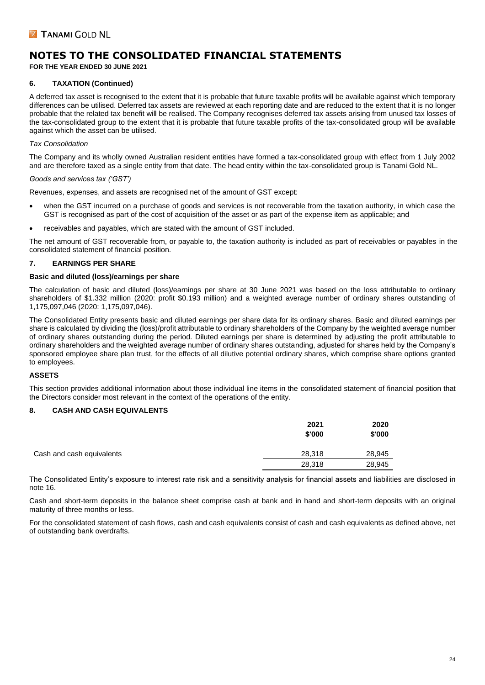**FOR THE YEAR ENDED 30 JUNE 2021**

#### **6. TAXATION (Continued)**

A deferred tax asset is recognised to the extent that it is probable that future taxable profits will be available against which temporary differences can be utilised. Deferred tax assets are reviewed at each reporting date and are reduced to the extent that it is no longer probable that the related tax benefit will be realised. The Company recognises deferred tax assets arising from unused tax losses of the tax-consolidated group to the extent that it is probable that future taxable profits of the tax-consolidated group will be available against which the asset can be utilised.

#### *Tax Consolidation*

The Company and its wholly owned Australian resident entities have formed a tax-consolidated group with effect from 1 July 2002 and are therefore taxed as a single entity from that date. The head entity within the tax-consolidated group is Tanami Gold NL.

#### *Goods and services tax ('GST')*

Revenues, expenses, and assets are recognised net of the amount of GST except:

- when the GST incurred on a purchase of goods and services is not recoverable from the taxation authority, in which case the GST is recognised as part of the cost of acquisition of the asset or as part of the expense item as applicable; and
- receivables and payables, which are stated with the amount of GST included.

The net amount of GST recoverable from, or payable to, the taxation authority is included as part of receivables or payables in the consolidated statement of financial position.

#### **7. EARNINGS PER SHARE**

#### **Basic and diluted (loss)/earnings per share**

The calculation of basic and diluted (loss)/earnings per share at 30 June 2021 was based on the loss attributable to ordinary shareholders of \$1.332 million (2020: profit \$0.193 million) and a weighted average number of ordinary shares outstanding of 1,175,097,046 (2020: 1,175,097,046).

The Consolidated Entity presents basic and diluted earnings per share data for its ordinary shares. Basic and diluted earnings per share is calculated by dividing the (loss)/profit attributable to ordinary shareholders of the Company by the weighted average number of ordinary shares outstanding during the period. Diluted earnings per share is determined by adjusting the profit attributable to ordinary shareholders and the weighted average number of ordinary shares outstanding, adjusted for shares held by the Company's sponsored employee share plan trust, for the effects of all dilutive potential ordinary shares, which comprise share options granted to employees.

#### **ASSETS**

This section provides additional information about those individual line items in the consolidated statement of financial position that the Directors consider most relevant in the context of the operations of the entity.

#### **8. CASH AND CASH EQUIVALENTS**

|                           | 2021<br>\$'000 | 2020<br>\$'000 |
|---------------------------|----------------|----------------|
| Cash and cash equivalents | 28,318         | 28,945         |
|                           | 28,318         | 28,945         |

The Consolidated Entity's exposure to interest rate risk and a sensitivity analysis for financial assets and liabilities are disclosed in note 16.

Cash and short-term deposits in the balance sheet comprise cash at bank and in hand and short-term deposits with an original maturity of three months or less.

For the consolidated statement of cash flows, cash and cash equivalents consist of cash and cash equivalents as defined above, net of outstanding bank overdrafts.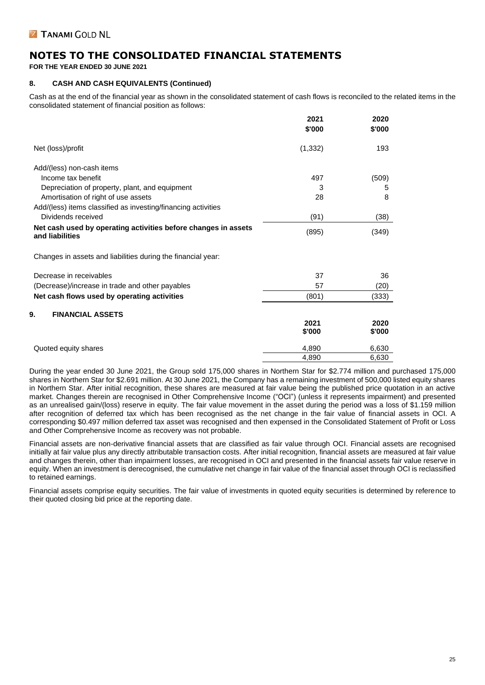**FOR THE YEAR ENDED 30 JUNE 2021**

#### **8. CASH AND CASH EQUIVALENTS (Continued)**

Cash as at the end of the financial year as shown in the consolidated statement of cash flows is reconciled to the related items in the consolidated statement of financial position as follows:

|                                                                                   | 2021<br>\$'000 | 2020<br>\$'000 |
|-----------------------------------------------------------------------------------|----------------|----------------|
| Net (loss)/profit                                                                 | (1, 332)       | 193            |
| Add/(less) non-cash items                                                         |                |                |
| Income tax benefit                                                                | 497            | (509)          |
| Depreciation of property, plant, and equipment                                    | 3              | 5              |
| Amortisation of right of use assets                                               | 28             | 8              |
| Add/(less) items classified as investing/financing activities                     |                |                |
| Dividends received                                                                | (91)           | (38)           |
| Net cash used by operating activities before changes in assets<br>and liabilities | (895)          | (349)          |
| Changes in assets and liabilities during the financial year:                      |                |                |
| Decrease in receivables                                                           | 37             | 36             |
| (Decrease)/increase in trade and other payables                                   | 57             | (20)           |
| Net cash flows used by operating activities                                       | (801)          | (333)          |
| 9.<br><b>FINANCIAL ASSETS</b>                                                     |                |                |
|                                                                                   | 2021           | 2020           |
|                                                                                   | \$'000         | \$'000         |
| Quoted equity shares                                                              | 4,890          | 6,630          |
|                                                                                   | 4,890          | 6,630          |

During the year ended 30 June 2021, the Group sold 175,000 shares in Northern Star for \$2.774 million and purchased 175,000 shares in Northern Star for \$2.691 million. At 30 June 2021, the Company has a remaining investment of 500,000 listed equity shares in Northern Star. After initial recognition, these shares are measured at fair value being the published price quotation in an active market. Changes therein are recognised in Other Comprehensive Income ("OCI") (unless it represents impairment) and presented as an unrealised gain/(loss) reserve in equity. The fair value movement in the asset during the period was a loss of \$1.159 million after recognition of deferred tax which has been recognised as the net change in the fair value of financial assets in OCI. A corresponding \$0.497 million deferred tax asset was recognised and then expensed in the Consolidated Statement of Profit or Loss and Other Comprehensive Income as recovery was not probable.

Financial assets are non-derivative financial assets that are classified as fair value through OCI. Financial assets are recognised initially at fair value plus any directly attributable transaction costs. After initial recognition, financial assets are measured at fair value and changes therein, other than impairment losses, are recognised in OCI and presented in the financial assets fair value reserve in equity. When an investment is derecognised, the cumulative net change in fair value of the financial asset through OCI is reclassified to retained earnings.

Financial assets comprise equity securities. The fair value of investments in quoted equity securities is determined by reference to their quoted closing bid price at the reporting date.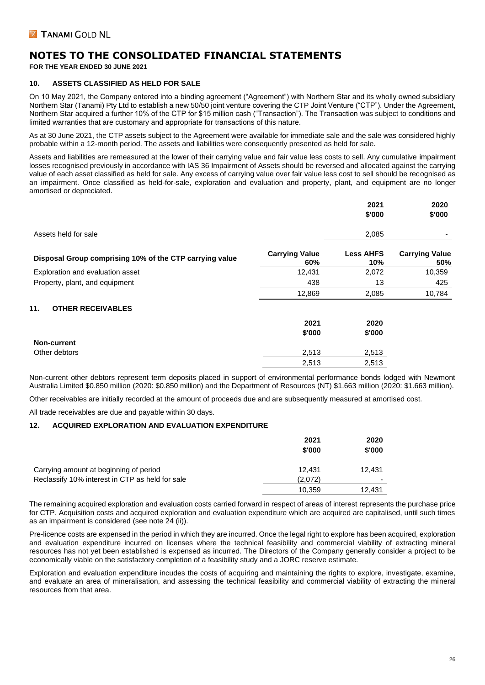**FOR THE YEAR ENDED 30 JUNE 2021**

#### **10. ASSETS CLASSIFIED AS HELD FOR SALE**

On 10 May 2021, the Company entered into a binding agreement ("Agreement") with Northern Star and its wholly owned subsidiary Northern Star (Tanami) Pty Ltd to establish a new 50/50 joint venture covering the CTP Joint Venture ("CTP"). Under the Agreement, Northern Star acquired a further 10% of the CTP for \$15 million cash ("Transaction"). The Transaction was subject to conditions and limited warranties that are customary and appropriate for transactions of this nature.

As at 30 June 2021, the CTP assets subject to the Agreement were available for immediate sale and the sale was considered highly probable within a 12-month period. The assets and liabilities were consequently presented as held for sale.

Assets and liabilities are remeasured at the lower of their carrying value and fair value less costs to sell. Any cumulative impairment losses recognised previously in accordance with IAS 36 Impairment of Assets should be reversed and allocated against the carrying value of each asset classified as held for sale. Any excess of carrying value over fair value less cost to sell should be recognised as an impairment. Once classified as held-for-sale, exploration and evaluation and property, plant, and equipment are no longer amortised or depreciated.

|                                                         |                              | 2021<br>\$'000          | 2020<br>\$'000               |
|---------------------------------------------------------|------------------------------|-------------------------|------------------------------|
| Assets held for sale                                    |                              | 2,085                   |                              |
| Disposal Group comprising 10% of the CTP carrying value | <b>Carrying Value</b><br>60% | <b>Less AHFS</b><br>10% | <b>Carrying Value</b><br>50% |
| Exploration and evaluation asset                        | 12,431                       | 2,072                   | 10,359                       |
| Property, plant, and equipment                          | 438                          | 13                      | 425                          |
|                                                         | 12,869                       | 2,085                   | 10,784                       |
| <b>OTHER RECEIVABLES</b><br>11.                         |                              |                         |                              |
|                                                         | 2021                         | 2020                    |                              |
|                                                         | \$'000                       | \$'000                  |                              |
| <b>Non-current</b>                                      |                              |                         |                              |
| Other debtors                                           | 2,513                        | 2,513                   |                              |
|                                                         | 2,513                        | 2,513                   |                              |

Non-current other debtors represent term deposits placed in support of environmental performance bonds lodged with Newmont Australia Limited \$0.850 million (2020: \$0.850 million) and the Department of Resources (NT) \$1.663 million (2020: \$1.663 million).

Other receivables are initially recorded at the amount of proceeds due and are subsequently measured at amortised cost.

All trade receivables are due and payable within 30 days.

#### **12. ACQUIRED EXPLORATION AND EVALUATION EXPENDITURE**

|                                                 | 2021    | 2020   |
|-------------------------------------------------|---------|--------|
|                                                 | \$'000  | \$'000 |
| Carrying amount at beginning of period          | 12.431  | 12.431 |
| Reclassify 10% interest in CTP as held for sale | (2.072) | -      |
|                                                 | 10.359  | 12.431 |

The remaining acquired exploration and evaluation costs carried forward in respect of areas of interest represents the purchase price for CTP. Acquisition costs and acquired exploration and evaluation expenditure which are acquired are capitalised, until such times as an impairment is considered (see note 24 (ii)).

Pre-licence costs are expensed in the period in which they are incurred. Once the legal right to explore has been acquired, exploration and evaluation expenditure incurred on licenses where the technical feasibility and commercial viability of extracting mineral resources has not yet been established is expensed as incurred. The Directors of the Company generally consider a project to be economically viable on the satisfactory completion of a feasibility study and a JORC reserve estimate.

Exploration and evaluation expenditure incudes the costs of acquiring and maintaining the rights to explore, investigate, examine, and evaluate an area of mineralisation, and assessing the technical feasibility and commercial viability of extracting the mineral resources from that area.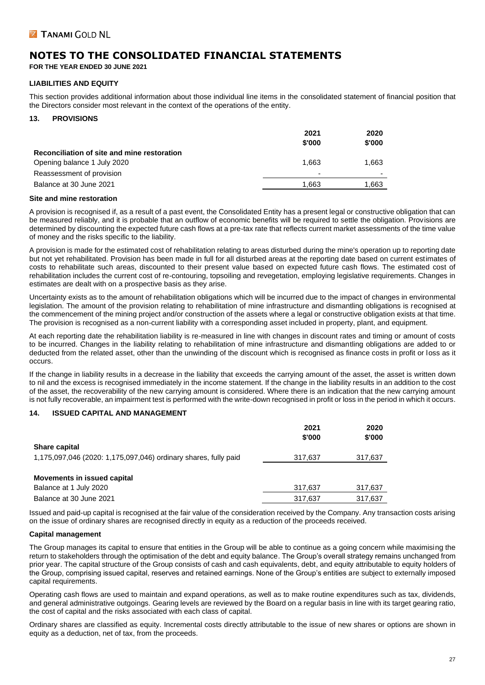**FOR THE YEAR ENDED 30 JUNE 2021**

#### **LIABILITIES AND EQUITY**

This section provides additional information about those individual line items in the consolidated statement of financial position that the Directors consider most relevant in the context of the operations of the entity.

#### **13. PROVISIONS**

|                                             | 2021                     | 2020   |
|---------------------------------------------|--------------------------|--------|
|                                             | \$'000                   | \$'000 |
| Reconciliation of site and mine restoration |                          |        |
| Opening balance 1 July 2020                 | 1.663                    | 1,663  |
| Reassessment of provision                   | $\overline{\phantom{0}}$ | -      |
| Balance at 30 June 2021                     | 1.663                    | 1,663  |
|                                             |                          |        |

#### **Site and mine restoration**

A provision is recognised if, as a result of a past event, the Consolidated Entity has a present legal or constructive obligation that can be measured reliably, and it is probable that an outflow of economic benefits will be required to settle the obligation. Provisions are determined by discounting the expected future cash flows at a pre-tax rate that reflects current market assessments of the time value of money and the risks specific to the liability.

A provision is made for the estimated cost of rehabilitation relating to areas disturbed during the mine's operation up to reporting date but not yet rehabilitated. Provision has been made in full for all disturbed areas at the reporting date based on current estimates of costs to rehabilitate such areas, discounted to their present value based on expected future cash flows. The estimated cost of rehabilitation includes the current cost of re-contouring, topsoiling and revegetation, employing legislative requirements. Changes in estimates are dealt with on a prospective basis as they arise.

Uncertainty exists as to the amount of rehabilitation obligations which will be incurred due to the impact of changes in environmental legislation. The amount of the provision relating to rehabilitation of mine infrastructure and dismantling obligations is recognised at the commencement of the mining project and/or construction of the assets where a legal or constructive obligation exists at that time. The provision is recognised as a non-current liability with a corresponding asset included in property, plant, and equipment.

At each reporting date the rehabilitation liability is re-measured in line with changes in discount rates and timing or amount of costs to be incurred. Changes in the liability relating to rehabilitation of mine infrastructure and dismantling obligations are added to or deducted from the related asset, other than the unwinding of the discount which is recognised as finance costs in profit or loss as it occurs.

If the change in liability results in a decrease in the liability that exceeds the carrying amount of the asset, the asset is written down to nil and the excess is recognised immediately in the income statement. If the change in the liability results in an addition to the cost of the asset, the recoverability of the new carrying amount is considered. Where there is an indication that the new carrying amount is not fully recoverable, an impairment test is performed with the write-down recognised in profit or loss in the period in which it occurs.

#### **14. ISSUED CAPITAL AND MANAGEMENT**

|                                                                 | 2021<br>\$'000 | 2020<br>\$'000 |
|-----------------------------------------------------------------|----------------|----------------|
| <b>Share capital</b>                                            |                |                |
| 1,175,097,046 (2020: 1,175,097,046) ordinary shares, fully paid | 317.637        | 317,637        |
|                                                                 |                |                |
| Movements in issued capital                                     |                |                |
| Balance at 1 July 2020                                          | 317.637        | 317,637        |
| Balance at 30 June 2021                                         | 317.637        | 317.637        |

Issued and paid-up capital is recognised at the fair value of the consideration received by the Company. Any transaction costs arising on the issue of ordinary shares are recognised directly in equity as a reduction of the proceeds received.

#### **Capital management**

The Group manages its capital to ensure that entities in the Group will be able to continue as a going concern while maximising the return to stakeholders through the optimisation of the debt and equity balance. The Group's overall strategy remains unchanged from prior year. The capital structure of the Group consists of cash and cash equivalents, debt, and equity attributable to equity holders of the Group, comprising issued capital, reserves and retained earnings. None of the Group's entities are subject to externally imposed capital requirements.

Operating cash flows are used to maintain and expand operations, as well as to make routine expenditures such as tax, dividends, and general administrative outgoings. Gearing levels are reviewed by the Board on a regular basis in line with its target gearing ratio, the cost of capital and the risks associated with each class of capital.

Ordinary shares are classified as equity. Incremental costs directly attributable to the issue of new shares or options are shown in equity as a deduction, net of tax, from the proceeds.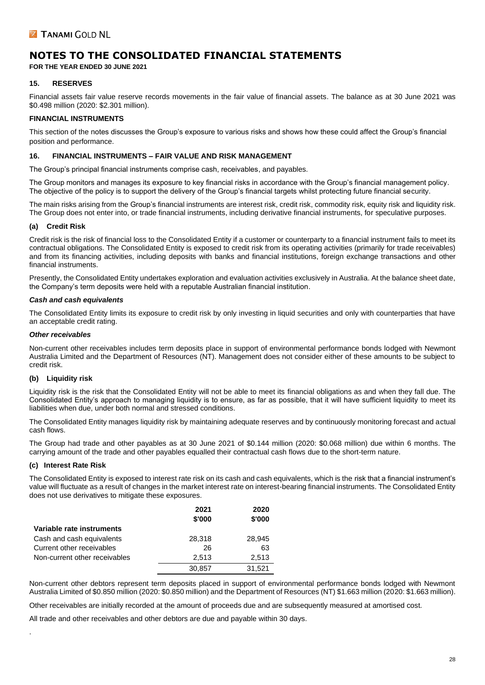**FOR THE YEAR ENDED 30 JUNE 2021**

#### **15. RESERVES**

Financial assets fair value reserve records movements in the fair value of financial assets. The balance as at 30 June 2021 was \$0.498 million (2020: \$2.301 million).

#### **FINANCIAL INSTRUMENTS**

This section of the notes discusses the Group's exposure to various risks and shows how these could affect the Group's financial position and performance.

#### **16. FINANCIAL INSTRUMENTS – FAIR VALUE AND RISK MANAGEMENT**

The Group's principal financial instruments comprise cash, receivables, and payables.

The Group monitors and manages its exposure to key financial risks in accordance with the Group's financial management policy. The objective of the policy is to support the delivery of the Group's financial targets whilst protecting future financial security.

The main risks arising from the Group's financial instruments are interest risk, credit risk, commodity risk, equity risk and liquidity risk. The Group does not enter into, or trade financial instruments, including derivative financial instruments, for speculative purposes.

#### **(a) Credit Risk**

Credit risk is the risk of financial loss to the Consolidated Entity if a customer or counterparty to a financial instrument fails to meet its contractual obligations. The Consolidated Entity is exposed to credit risk from its operating activities (primarily for trade receivables) and from its financing activities, including deposits with banks and financial institutions, foreign exchange transactions and other financial instruments.

Presently, the Consolidated Entity undertakes exploration and evaluation activities exclusively in Australia. At the balance sheet date, the Company's term deposits were held with a reputable Australian financial institution.

#### *Cash and cash equivalents*

The Consolidated Entity limits its exposure to credit risk by only investing in liquid securities and only with counterparties that have an acceptable credit rating.

#### *Other receivables*

Non-current other receivables includes term deposits place in support of environmental performance bonds lodged with Newmont Australia Limited and the Department of Resources (NT). Management does not consider either of these amounts to be subject to credit risk.

#### **(b) Liquidity risk**

Liquidity risk is the risk that the Consolidated Entity will not be able to meet its financial obligations as and when they fall due. The Consolidated Entity's approach to managing liquidity is to ensure, as far as possible, that it will have sufficient liquidity to meet its liabilities when due, under both normal and stressed conditions.

The Consolidated Entity manages liquidity risk by maintaining adequate reserves and by continuously monitoring forecast and actual cash flows.

The Group had trade and other payables as at 30 June 2021 of \$0.144 million (2020: \$0.068 million) due within 6 months. The carrying amount of the trade and other payables equalled their contractual cash flows due to the short-term nature.

#### **(c) Interest Rate Risk**

.

The Consolidated Entity is exposed to interest rate risk on its cash and cash equivalents, which is the risk that a financial instrument's value will fluctuate as a result of changes in the market interest rate on interest-bearing financial instruments. The Consolidated Entity does not use derivatives to mitigate these exposures.

|                               | 2021<br>\$'000 | 2020<br>\$'000 |
|-------------------------------|----------------|----------------|
| Variable rate instruments     |                |                |
| Cash and cash equivalents     | 28,318         | 28,945         |
| Current other receivables     | 26             | 63             |
| Non-current other receivables | 2.513          | 2,513          |
|                               | 30,857         | 31,521         |

Non-current other debtors represent term deposits placed in support of environmental performance bonds lodged with Newmont Australia Limited of \$0.850 million (2020: \$0.850 million) and the Department of Resources (NT) \$1.663 million (2020: \$1.663 million).

Other receivables are initially recorded at the amount of proceeds due and are subsequently measured at amortised cost.

All trade and other receivables and other debtors are due and payable within 30 days.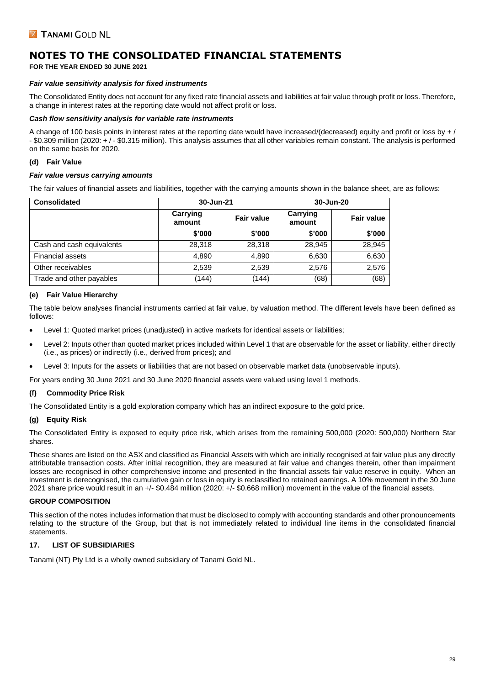**FOR THE YEAR ENDED 30 JUNE 2021**

#### *Fair value sensitivity analysis for fixed instruments*

The Consolidated Entity does not account for any fixed rate financial assets and liabilities at fair value through profit or loss. Therefore, a change in interest rates at the reporting date would not affect profit or loss.

#### *Cash flow sensitivity analysis for variable rate instruments*

A change of 100 basis points in interest rates at the reporting date would have increased/(decreased) equity and profit or loss by + / - \$0.309 million (2020: + / - \$0.315 million). This analysis assumes that all other variables remain constant. The analysis is performed on the same basis for 2020.

#### **(d) Fair Value**

#### *Fair value versus carrying amounts*

The fair values of financial assets and liabilities, together with the carrying amounts shown in the balance sheet, are as follows:

| <b>Consolidated</b>       | 30-Jun-21          |                   | 30-Jun-20          |                   |
|---------------------------|--------------------|-------------------|--------------------|-------------------|
|                           | Carrying<br>amount | <b>Fair value</b> | Carrying<br>amount | <b>Fair value</b> |
|                           | \$'000             | \$'000            | \$'000             | \$'000            |
| Cash and cash equivalents | 28.318             | 28.318            | 28.945             | 28,945            |
| <b>Financial assets</b>   | 4,890              | 4,890             | 6,630              | 6,630             |
| Other receivables         | 2,539              | 2,539             | 2,576              | 2,576             |
| Trade and other payables  | (144)              | (144)             | (68)               | (68)              |

#### **(e) Fair Value Hierarchy**

The table below analyses financial instruments carried at fair value, by valuation method. The different levels have been defined as follows:

- Level 1: Quoted market prices (unadjusted) in active markets for identical assets or liabilities;
- Level 2: Inputs other than quoted market prices included within Level 1 that are observable for the asset or liability, either directly (i.e., as prices) or indirectly (i.e., derived from prices); and
- Level 3: Inputs for the assets or liabilities that are not based on observable market data (unobservable inputs).

For years ending 30 June 2021 and 30 June 2020 financial assets were valued using level 1 methods.

#### **(f) Commodity Price Risk**

The Consolidated Entity is a gold exploration company which has an indirect exposure to the gold price.

#### **(g) Equity Risk**

The Consolidated Entity is exposed to equity price risk, which arises from the remaining 500,000 (2020: 500,000) Northern Star shares.

These shares are listed on the ASX and classified as Financial Assets with which are initially recognised at fair value plus any directly attributable transaction costs. After initial recognition, they are measured at fair value and changes therein, other than impairment losses are recognised in other comprehensive income and presented in the financial assets fair value reserve in equity. When an investment is derecognised, the cumulative gain or loss in equity is reclassified to retained earnings. A 10% movement in the 30 June 2021 share price would result in an +/- \$0.484 million (2020: +/- \$0.668 million) movement in the value of the financial assets.

#### **GROUP COMPOSITION**

This section of the notes includes information that must be disclosed to comply with accounting standards and other pronouncements relating to the structure of the Group, but that is not immediately related to individual line items in the consolidated financial statements.

#### **17. LIST OF SUBSIDIARIES**

Tanami (NT) Pty Ltd is a wholly owned subsidiary of Tanami Gold NL.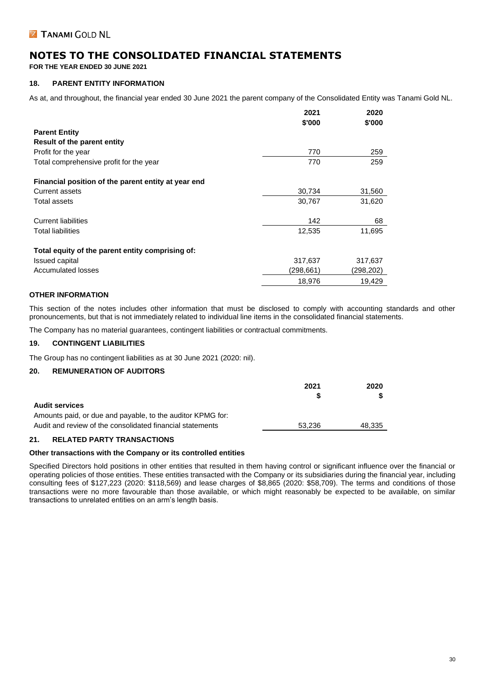**FOR THE YEAR ENDED 30 JUNE 2021**

#### **18. PARENT ENTITY INFORMATION**

As at, and throughout, the financial year ended 30 June 2021 the parent company of the Consolidated Entity was Tanami Gold NL.

|                                                     | 2021<br>\$'000 | 2020<br>\$'000 |
|-----------------------------------------------------|----------------|----------------|
| <b>Parent Entity</b>                                |                |                |
| <b>Result of the parent entity</b>                  |                |                |
| Profit for the year                                 | 770            | 259            |
| Total comprehensive profit for the year             | 770            | 259            |
| Financial position of the parent entity at year end |                |                |
| <b>Current assets</b>                               | 30,734         | 31,560         |
| Total assets                                        | 30,767         | 31,620         |
| <b>Current liabilities</b>                          | 142            | 68             |
| <b>Total liabilities</b>                            | 12,535         | 11,695         |
| Total equity of the parent entity comprising of:    |                |                |
| Issued capital                                      | 317,637        | 317,637        |
| <b>Accumulated losses</b>                           | (298.661)      | (298,202)      |
|                                                     | 18,976         | 19,429         |

#### **OTHER INFORMATION**

This section of the notes includes other information that must be disclosed to comply with accounting standards and other pronouncements, but that is not immediately related to individual line items in the consolidated financial statements.

The Company has no material guarantees, contingent liabilities or contractual commitments.

#### **19. CONTINGENT LIABILITIES**

The Group has no contingent liabilities as at 30 June 2021 (2020: nil).

#### **20. REMUNERATION OF AUDITORS**

|                                                            | 2021   | 2020   |
|------------------------------------------------------------|--------|--------|
|                                                            |        |        |
| <b>Audit services</b>                                      |        |        |
| Amounts paid, or due and payable, to the auditor KPMG for: |        |        |
| Audit and review of the consolidated financial statements  | 53.236 | 48.335 |
|                                                            |        |        |

#### **21. RELATED PARTY TRANSACTIONS**

#### **Other transactions with the Company or its controlled entities**

Specified Directors hold positions in other entities that resulted in them having control or significant influence over the financial or operating policies of those entities. These entities transacted with the Company or its subsidiaries during the financial year, including consulting fees of \$127,223 (2020: \$118,569) and lease charges of \$8,865 (2020: \$58,709). The terms and conditions of those transactions were no more favourable than those available, or which might reasonably be expected to be available, on similar transactions to unrelated entities on an arm's length basis.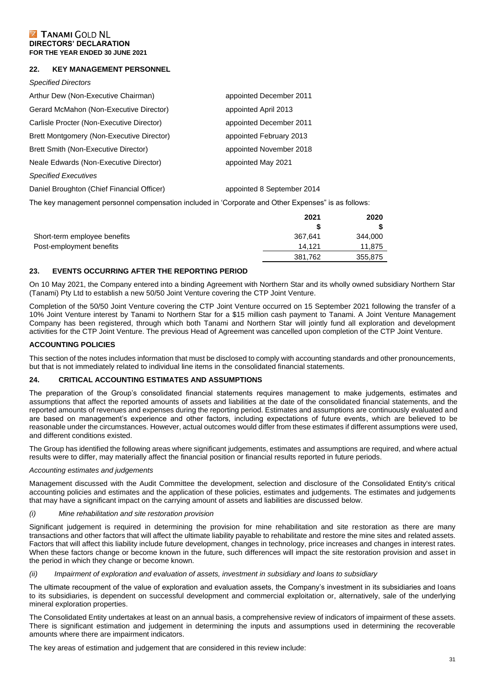#### **22. KEY MANAGEMENT PERSONNEL**

## *Specified Directors* Arthur Dew (Non-Executive Chairman) appointed December 2011 Gerard McMahon (Non-Executive Director) appointed April 2013 Carlisle Procter (Non-Executive Director) appointed December 2011 Brett Montgomery (Non-Executive Director) appointed February 2013 Brett Smith (Non-Executive Director) appointed November 2018 Neale Edwards (Non-Executive Director) and appointed May 2021 *Specified Executives* Daniel Broughton (Chief Financial Officer) appointed 8 September 2014 The key management personnel compensation included in 'Corporate and Other Expenses" is as follows:

|                              | 2021    | 2020    |
|------------------------------|---------|---------|
|                              | S       |         |
| Short-term employee benefits | 367.641 | 344,000 |
| Post-employment benefits     | 14.121  | 11.875  |
|                              | 381,762 | 355,875 |

#### **23. EVENTS OCCURRING AFTER THE REPORTING PERIOD**

On 10 May 2021, the Company entered into a binding Agreement with Northern Star and its wholly owned subsidiary Northern Star (Tanami) Pty Ltd to establish a new 50/50 Joint Venture covering the CTP Joint Venture.

Completion of the 50/50 Joint Venture covering the CTP Joint Venture occurred on 15 September 2021 following the transfer of a 10% Joint Venture interest by Tanami to Northern Star for a \$15 million cash payment to Tanami. A Joint Venture Management Company has been registered, through which both Tanami and Northern Star will jointly fund all exploration and development activities for the CTP Joint Venture. The previous Head of Agreement was cancelled upon completion of the CTP Joint Venture.

#### **ACCOUNTING POLICIES**

This section of the notes includes information that must be disclosed to comply with accounting standards and other pronouncements, but that is not immediately related to individual line items in the consolidated financial statements.

#### **24. CRITICAL ACCOUNTING ESTIMATES AND ASSUMPTIONS**

The preparation of the Group's consolidated financial statements requires management to make judgements, estimates and assumptions that affect the reported amounts of assets and liabilities at the date of the consolidated financial statements, and the reported amounts of revenues and expenses during the reporting period. Estimates and assumptions are continuously evaluated and are based on management's experience and other factors, including expectations of future events, which are believed to be reasonable under the circumstances. However, actual outcomes would differ from these estimates if different assumptions were used, and different conditions existed.

The Group has identified the following areas where significant judgements, estimates and assumptions are required, and where actual results were to differ, may materially affect the financial position or financial results reported in future periods.

#### *Accounting estimates and judgements*

Management discussed with the Audit Committee the development, selection and disclosure of the Consolidated Entity's critical accounting policies and estimates and the application of these policies, estimates and judgements. The estimates and judgements that may have a significant impact on the carrying amount of assets and liabilities are discussed below.

#### *(i) Mine rehabilitation and site restoration provision*

Significant judgement is required in determining the provision for mine rehabilitation and site restoration as there are many transactions and other factors that will affect the ultimate liability payable to rehabilitate and restore the mine sites and related assets. Factors that will affect this liability include future development, changes in technology, price increases and changes in interest rates. When these factors change or become known in the future, such differences will impact the site restoration provision and asset in the period in which they change or become known.

#### *(ii) Impairment of exploration and evaluation of assets, investment in subsidiary and loans to subsidiary*

The ultimate recoupment of the value of exploration and evaluation assets, the Company's investment in its subsidiaries and loans to its subsidiaries, is dependent on successful development and commercial exploitation or, alternatively, sale of the underlying mineral exploration properties.

The Consolidated Entity undertakes at least on an annual basis, a comprehensive review of indicators of impairment of these assets. There is significant estimation and judgement in determining the inputs and assumptions used in determining the recoverable amounts where there are impairment indicators.

The key areas of estimation and judgement that are considered in this review include: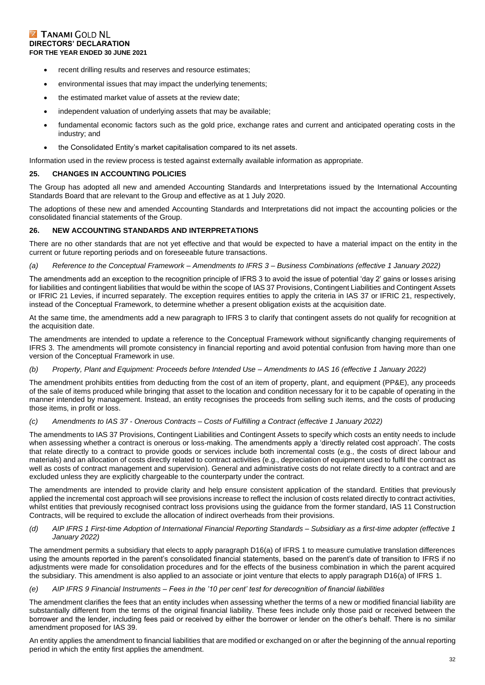- recent drilling results and reserves and resource estimates;
- environmental issues that may impact the underlying tenements;
- the estimated market value of assets at the review date;
- independent valuation of underlying assets that may be available;
- fundamental economic factors such as the gold price, exchange rates and current and anticipated operating costs in the industry; and
- the Consolidated Entity's market capitalisation compared to its net assets.

Information used in the review process is tested against externally available information as appropriate.

#### **25. CHANGES IN ACCOUNTING POLICIES**

The Group has adopted all new and amended Accounting Standards and Interpretations issued by the International Accounting Standards Board that are relevant to the Group and effective as at 1 July 2020.

The adoptions of these new and amended Accounting Standards and Interpretations did not impact the accounting policies or the consolidated financial statements of the Group.

#### **26. NEW ACCOUNTING STANDARDS AND INTERPRETATIONS**

There are no other standards that are not yet effective and that would be expected to have a material impact on the entity in the current or future reporting periods and on foreseeable future transactions.

#### *(a) Reference to the Conceptual Framework – Amendments to IFRS 3 – Business Combinations (effective 1 January 2022)*

The amendments add an exception to the recognition principle of IFRS 3 to avoid the issue of potential 'day 2' gains or losses arising for liabilities and contingent liabilities that would be within the scope of IAS 37 Provisions, Contingent Liabilities and Contingent Assets or IFRIC 21 Levies, if incurred separately. The exception requires entities to apply the criteria in IAS 37 or IFRIC 21, respectively, instead of the Conceptual Framework, to determine whether a present obligation exists at the acquisition date.

At the same time, the amendments add a new paragraph to IFRS 3 to clarify that contingent assets do not qualify for recognition at the acquisition date.

The amendments are intended to update a reference to the Conceptual Framework without significantly changing requirements of IFRS 3. The amendments will promote consistency in financial reporting and avoid potential confusion from having more than one version of the Conceptual Framework in use.

#### *(b) Property, Plant and Equipment: Proceeds before Intended Use – Amendments to IAS 16 (effective 1 January 2022)*

The amendment prohibits entities from deducting from the cost of an item of property, plant, and equipment (PP&E), any proceeds of the sale of items produced while bringing that asset to the location and condition necessary for it to be capable of operating in the manner intended by management. Instead, an entity recognises the proceeds from selling such items, and the costs of producing those items, in profit or loss.

#### *(c) Amendments to IAS 37 - Onerous Contracts – Costs of Fulfilling a Contract (effective 1 January 2022)*

The amendments to IAS 37 Provisions, Contingent Liabilities and Contingent Assets to specify which costs an entity needs to include when assessing whether a contract is onerous or loss-making. The amendments apply a 'directly related cost approach'. The costs that relate directly to a contract to provide goods or services include both incremental costs (e.g., the costs of direct labour and materials) and an allocation of costs directly related to contract activities (e.g., depreciation of equipment used to fulfil the contract as well as costs of contract management and supervision). General and administrative costs do not relate directly to a contract and are excluded unless they are explicitly chargeable to the counterparty under the contract.

The amendments are intended to provide clarity and help ensure consistent application of the standard. Entities that previously applied the incremental cost approach will see provisions increase to reflect the inclusion of costs related directly to contract activities, whilst entities that previously recognised contract loss provisions using the guidance from the former standard, IAS 11 Construction Contracts, will be required to exclude the allocation of indirect overheads from their provisions.

#### *(d) AIP IFRS 1 First-time Adoption of International Financial Reporting Standards – Subsidiary as a first-time adopter (effective 1 January 2022)*

The amendment permits a subsidiary that elects to apply paragraph D16(a) of IFRS 1 to measure cumulative translation differences using the amounts reported in the parent's consolidated financial statements, based on the parent's date of transition to IFRS if no adjustments were made for consolidation procedures and for the effects of the business combination in which the parent acquired the subsidiary. This amendment is also applied to an associate or joint venture that elects to apply paragraph D16(a) of IFRS 1.

#### *(e) AIP IFRS 9 Financial Instruments – Fees in the '10 per cent' test for derecognition of financial liabilities*

The amendment clarifies the fees that an entity includes when assessing whether the terms of a new or modified financial liability are substantially different from the terms of the original financial liability. These fees include only those paid or received between the borrower and the lender, including fees paid or received by either the borrower or lender on the other's behalf. There is no similar amendment proposed for IAS 39.

An entity applies the amendment to financial liabilities that are modified or exchanged on or after the beginning of the annual reporting period in which the entity first applies the amendment.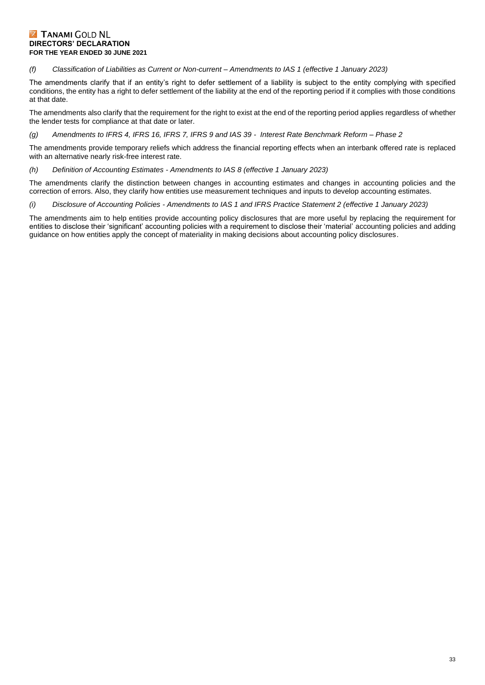#### *(f) Classification of Liabilities as Current or Non-current – Amendments to IAS 1 (effective 1 January 2023)*

The amendments clarify that if an entity's right to defer settlement of a liability is subject to the entity complying with specified conditions, the entity has a right to defer settlement of the liability at the end of the reporting period if it complies with those conditions at that date.

The amendments also clarify that the requirement for the right to exist at the end of the reporting period applies regardless of whether the lender tests for compliance at that date or later.

#### *(g) Amendments to IFRS 4, IFRS 16, IFRS 7, IFRS 9 and IAS 39 - Interest Rate Benchmark Reform – Phase 2*

The amendments provide temporary reliefs which address the financial reporting effects when an interbank offered rate is replaced with an alternative nearly risk-free interest rate.

*(h) Definition of Accounting Estimates - Amendments to IAS 8 (effective 1 January 2023)*

The amendments clarify the distinction between changes in accounting estimates and changes in accounting policies and the correction of errors. Also, they clarify how entities use measurement techniques and inputs to develop accounting estimates.

#### *(i) Disclosure of Accounting Policies - Amendments to IAS 1 and IFRS Practice Statement 2 (effective 1 January 2023)*

The amendments aim to help entities provide accounting policy disclosures that are more useful by replacing the requirement for entities to disclose their 'significant' accounting policies with a requirement to disclose their 'material' accounting policies and adding guidance on how entities apply the concept of materiality in making decisions about accounting policy disclosures.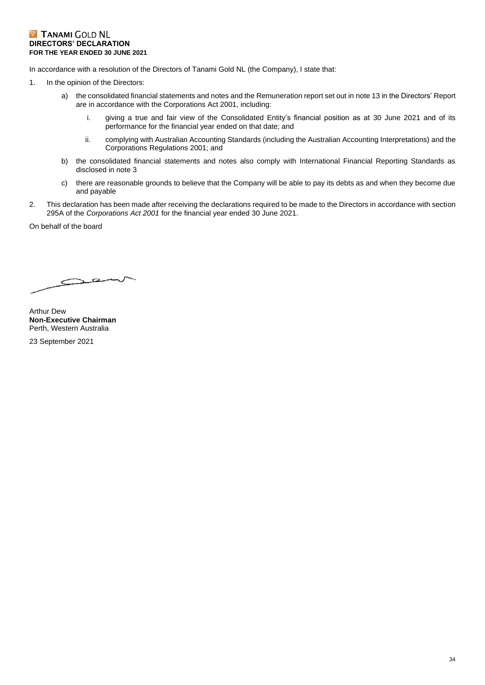In accordance with a resolution of the Directors of Tanami Gold NL (the Company), I state that:

- 1. In the opinion of the Directors:
	- a) the consolidated financial statements and notes and the Remuneration report set out in note 13 in the Directors' Report are in accordance with the Corporations Act 2001, including:
		- i. giving a true and fair view of the Consolidated Entity's financial position as at 30 June 2021 and of its performance for the financial year ended on that date; and
		- ii. complying with Australian Accounting Standards (including the Australian Accounting Interpretations) and the Corporations Regulations 2001; and
	- b) the consolidated financial statements and notes also comply with International Financial Reporting Standards as disclosed in note 3
	- c) there are reasonable grounds to believe that the Company will be able to pay its debts as and when they become due and payable
- 2. This declaration has been made after receiving the declarations required to be made to the Directors in accordance with section 295A of the *Corporations Act 2001* for the financial year ended 30 June 2021.

On behalf of the board

 $\overline{C}$  $\leq$ 

Arthur Dew **Non-Executive Chairman** Perth, Western Australia

23 September 2021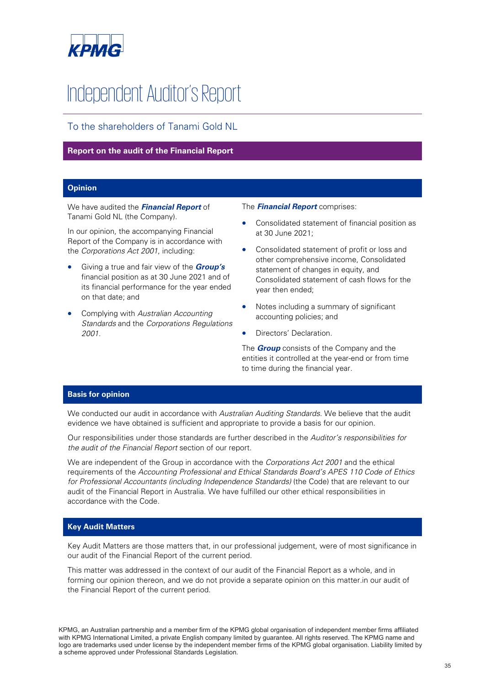![](_page_35_Picture_0.jpeg)

# Independent Auditor's Report

To the shareholders of Tanami Gold NL

#### **Report on the audit of the Financial Report**

#### **Opinion**

We have audited the **Financial Report** of Tanami Gold NL (the Company).

In our opinion, the accompanying Financial Report of the Company is in accordance with the Corporations Act 2001, including:

- Giving a true and fair view of the **Group's** financial position as at 30 June 2021 and of its financial performance for the year ended on that date; and
- Complying with Australian Accounting Standards and the Corporations Regulations 2001.

#### The **Financial Report** comprises:

- Consolidated statement of financial position as at 30 June 2021;
- Consolidated statement of profit or loss and other comprehensive income, Consolidated statement of changes in equity, and Consolidated statement of cash flows for the year then ended;
- Notes including a summary of significant accounting policies; and
- Directors' Declaration.

The **Group** consists of the Company and the entities it controlled at the year-end or from time to time during the financial year.

#### **Basis for opinion**

We conducted our audit in accordance with Australian Auditing Standards. We believe that the audit evidence we have obtained is sufficient and appropriate to provide a basis for our opinion.

Our responsibilities under those standards are further described in the Auditor's responsibilities for the audit of the Financial Report section of our report.

We are independent of the Group in accordance with the Corporations Act 2001 and the ethical requirements of the Accounting Professional and Ethical Standards Board's APES 110 Code of Ethics for Professional Accountants (including Independence Standards) (the Code) that are relevant to our audit of the Financial Report in Australia. We have fulfilled our other ethical responsibilities in accordance with the Code.

#### **Key Audit Matters**

Key Audit Matters are those matters that, in our professional judgement, were of most significance in our audit of the Financial Report of the current period.

This matter was addressed in the context of our audit of the Financial Report as a whole, and in forming our opinion thereon, and we do not provide a separate opinion on this matter.in our audit of the Financial Report of the current period.

KPMG, an Australian partnership and a member firm of the KPMG global organisation of independent member firms affiliated with KPMG International Limited, a private English company limited by guarantee. All rights reserved. The KPMG name and logo are trademarks used under license by the independent member firms of the KPMG global organisation. Liability limited by a scheme approved under Professional Standards Legislation.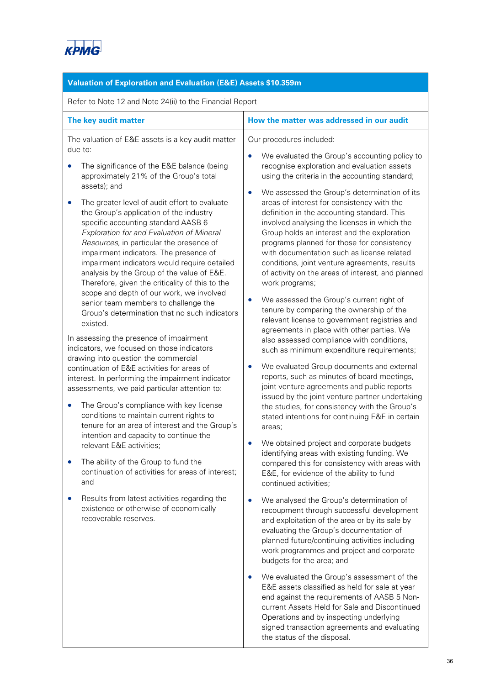![](_page_36_Picture_0.jpeg)

Operations and by inspecting underlying signed transaction agreements and evaluating

the status of the disposal.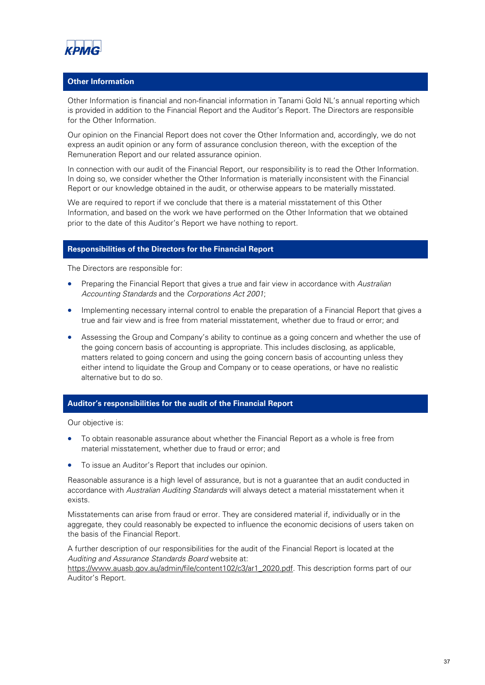![](_page_37_Picture_0.jpeg)

#### **Other Information**

Other Information is financial and non-financial information in Tanami Gold NL's annual reporting which is provided in addition to the Financial Report and the Auditor's Report. The Directors are responsible for the Other Information.

Our opinion on the Financial Report does not cover the Other Information and, accordingly, we do not express an audit opinion or any form of assurance conclusion thereon, with the exception of the Remuneration Report and our related assurance opinion.

In connection with our audit of the Financial Report, our responsibility is to read the Other Information. In doing so, we consider whether the Other Information is materially inconsistent with the Financial Report or our knowledge obtained in the audit, or otherwise appears to be materially misstated.

We are required to report if we conclude that there is a material misstatement of this Other Information, and based on the work we have performed on the Other Information that we obtained prior to the date of this Auditor's Report we have nothing to report.

#### **Responsibilities of the Directors for the Financial Report**

The Directors are responsible for:

- Preparing the Financial Report that gives a true and fair view in accordance with Australian Accounting Standards and the Corporations Act 2001;
- Implementing necessary internal control to enable the preparation of a Financial Report that gives a true and fair view and is free from material misstatement, whether due to fraud or error; and
- Assessing the Group and Company's ability to continue as a going concern and whether the use of the going concern basis of accounting is appropriate. This includes disclosing, as applicable, matters related to going concern and using the going concern basis of accounting unless they either intend to liquidate the Group and Company or to cease operations, or have no realistic alternative but to do so.

#### **Auditor's responsibilities for the audit of the Financial Report**

Our objective is:

- To obtain reasonable assurance about whether the Financial Report as a whole is free from material misstatement, whether due to fraud or error; and
- To issue an Auditor's Report that includes our opinion.

Reasonable assurance is a high level of assurance, but is not a guarantee that an audit conducted in accordance with Australian Auditing Standards will always detect a material misstatement when it exists.

Misstatements can arise from fraud or error. They are considered material if, individually or in the aggregate, they could reasonably be expected to influence the economic decisions of users taken on the basis of the Financial Report.

A further description of our responsibilities for the audit of the Financial Report is located at the Auditing and Assurance Standards Board website at:

https://www.auasb.gov.au/admin/file/content102/c3/ar1\_2020.pdf. This description forms part of our Auditor's Report.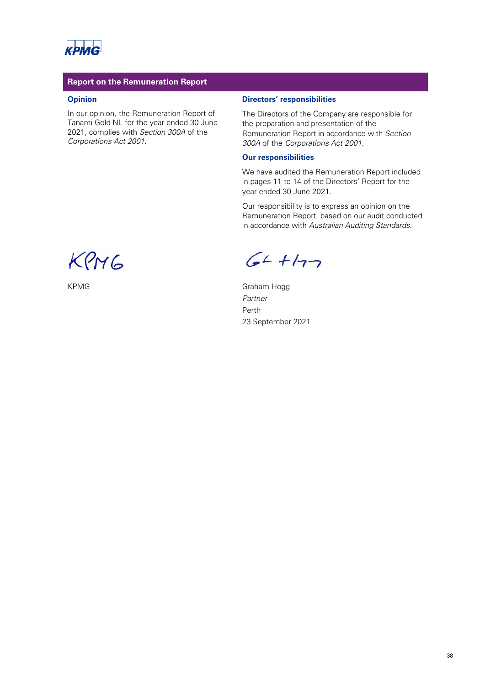![](_page_38_Picture_0.jpeg)

#### **Report on the Remuneration Report**

#### **Opinion**

In our opinion, the Remuneration Report of Tanami Gold NL for the year ended 30 June 2021, complies with Section 300A of the Corporations Act 2001.

#### **Directors' responsibilities**

The Directors of the Company are responsible for the preparation and presentation of the Remuneration Report in accordance with Section 300A of the Corporations Act 2001.

#### **Our responsibilities**

We have audited the Remuneration Report included in pages 11 to 14 of the Directors' Report for the year ended 30 June 2021.

Our responsibility is to express an opinion on the Remuneration Report, based on our audit conducted in accordance with Australian Auditing Standards.

KPMG

 $64 + 177$ 

KPMG Graham Hogg Partner Perth 23 September 2021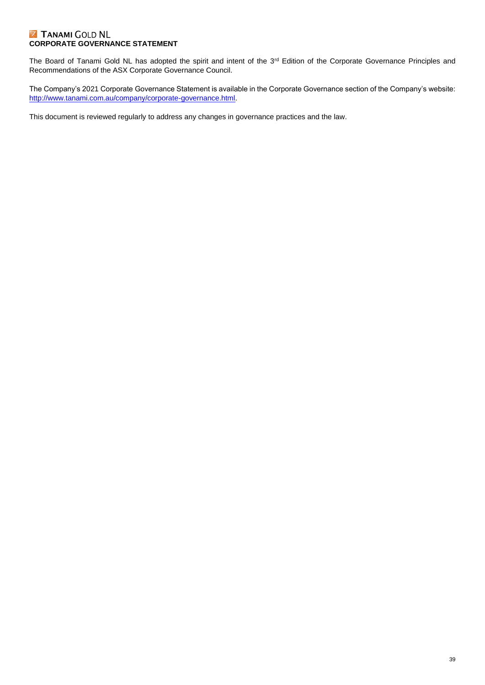#### **Z TANAMI GOLD NL CORPORATE GOVERNANCE STATEMENT**

The Board of Tanami Gold NL has adopted the spirit and intent of the 3<sup>rd</sup> Edition of the Corporate Governance Principles and Recommendations of the ASX Corporate Governance Council.

The Company's 2021 Corporate Governance Statement is available in the Corporate Governance section of the Company's website: [http://www.tanami.com.au/company/corporate-governance.html.](http://www.tanami.com.au/company/corporate-governance.html)

This document is reviewed regularly to address any changes in governance practices and the law.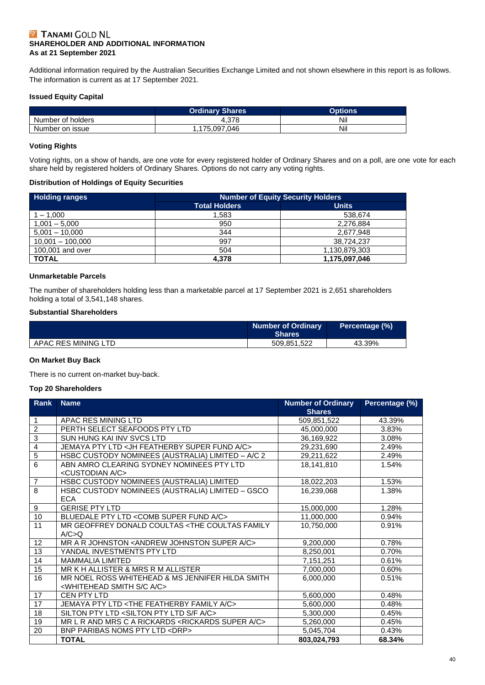#### **Z TANAMI GOLD NL SHAREHOLDER AND ADDITIONAL INFORMATION As at 21 September 2021**

Additional information required by the Australian Securities Exchange Limited and not shown elsewhere in this report is as follows. The information is current as at 17 September 2021.

#### **Issued Equity Capital**

|                   | <b>Ordinary Shares</b> | Options |
|-------------------|------------------------|---------|
| Number of holders | 4.378                  | Nil     |
| Number on issue   | i.175.097.046          | Nil     |

#### **Voting Rights**

Voting rights, on a show of hands, are one vote for every registered holder of Ordinary Shares and on a poll, are one vote for each share held by registered holders of Ordinary Shares. Options do not carry any voting rights.

#### **Distribution of Holdings of Equity Securities**

| <b>Holding ranges</b> | <b>Number of Equity Security Holders</b> |               |  |
|-----------------------|------------------------------------------|---------------|--|
|                       | <b>Total Holders</b>                     | <b>Units</b>  |  |
| 1 – 1.000             | 1.583                                    | 538,674       |  |
| $1,001 - 5,000$       | 950                                      | 2,276,884     |  |
| $5,001 - 10,000$      | 344                                      | 2,677,948     |  |
| $10,001 - 100,000$    | 997                                      | 38,724,237    |  |
| 100,001 and over      | 504                                      | 1,130,879,303 |  |
| <b>TOTAL</b>          | 4.378                                    | 1,175,097,046 |  |

#### **Unmarketable Parcels**

The number of shareholders holding less than a marketable parcel at 17 September 2021 is 2,651 shareholders holding a total of 3,541,148 shares.

#### **Substantial Shareholders**

|                     | <b>Number of Ordinary</b><br><b>Shares</b> | Percentage (%) |
|---------------------|--------------------------------------------|----------------|
| APAC RES MINING LTD | 509.851.522                                | 43.39%         |

#### **On Market Buy Back**

There is no current on-market buy-back.

#### **Top 20 Shareholders**

| Rank                    | <b>Name</b>                                                                                         | <b>Number of Ordinary</b><br><b>Shares</b> | Percentage (%) |
|-------------------------|-----------------------------------------------------------------------------------------------------|--------------------------------------------|----------------|
| $\mathbf{1}$            | APAC RES MINING LTD                                                                                 | 509,851,522                                | 43.39%         |
| $\overline{2}$          | PERTH SELECT SEAFOODS PTY LTD                                                                       | 45,000,000                                 | 3.83%          |
| $\overline{3}$          | SUN HUNG KAI INV SVCS LTD                                                                           | 36,169,922                                 | 3.08%          |
| $\overline{\mathbf{4}}$ | JEMAYA PTY LTD <jh a="" c="" featherby="" fund="" super=""></jh>                                    | 29,231,690                                 | 2.49%          |
| $\overline{5}$          | HSBC CUSTODY NOMINEES (AUSTRALIA) LIMITED - A/C 2                                                   | 29,211,622                                 | 2.49%          |
| $\overline{6}$          | ABN AMRO CLEARING SYDNEY NOMINEES PTY LTD<br><custodian a="" c=""></custodian>                      | 18,141,810                                 | 1.54%          |
| $\overline{7}$          | HSBC CUSTODY NOMINEES (AUSTRALIA) LIMITED                                                           | 18,022,203                                 | 1.53%          |
| $\overline{8}$          | HSBC CUSTODY NOMINEES (AUSTRALIA) LIMITED - GSCO<br><b>ECA</b>                                      | 16.239.068                                 | 1.38%          |
| 9                       | <b>GERISE PTY LTD</b>                                                                               | 15,000,000                                 | 1.28%          |
| 10                      | BLUEDALE PTY LTD < COMB SUPER FUND A/C>                                                             | 11,000,000                                 | 0.94%          |
| 11                      | MR GEOFFREY DONALD COULTAS <the coultas="" family<br="">A/C&gt;Q</the>                              | 10,750,000                                 | 0.91%          |
| 12                      | MR A R JOHNSTON <andrew a="" c="" johnston="" super=""></andrew>                                    | 9,200,000                                  | 0.78%          |
| 13                      | YANDAL INVESTMENTS PTY LTD                                                                          | 8,250,001                                  | 0.70%          |
| 14                      | <b>MAMMALIA LIMITED</b>                                                                             | 7,151,251                                  | 0.61%          |
| 15                      | MR K H ALLISTER & MRS R M ALLISTER                                                                  | 7,000,000                                  | 0.60%          |
| 16                      | MR NOEL ROSS WHITEHEAD & MS JENNIFER HILDA SMITH<br><whitehead a="" c="" s="" smith=""></whitehead> | 6.000.000                                  | 0.51%          |
| 17                      | CEN PTY LTD                                                                                         | 5,600,000                                  | 0.48%          |
| 17                      | JEMAYA PTY LTD <the a="" c="" family="" featherby=""></the>                                         | 5,600,000                                  | 0.48%          |
| 18                      | SILTON PTY LTD <silton a="" c="" f="" ltd="" pty="" s=""></silton>                                  | 5,300,000                                  | 0.45%          |
| 19                      | MR L R AND MRS C A RICKARDS <rickards a="" c="" super=""></rickards>                                | 5,260,000                                  | 0.45%          |
| 20                      | BNP PARIBAS NOMS PTY LTD <drp></drp>                                                                | 5,045,704                                  | 0.43%          |
|                         | <b>TOTAL</b>                                                                                        | 803,024,793                                | 68.34%         |